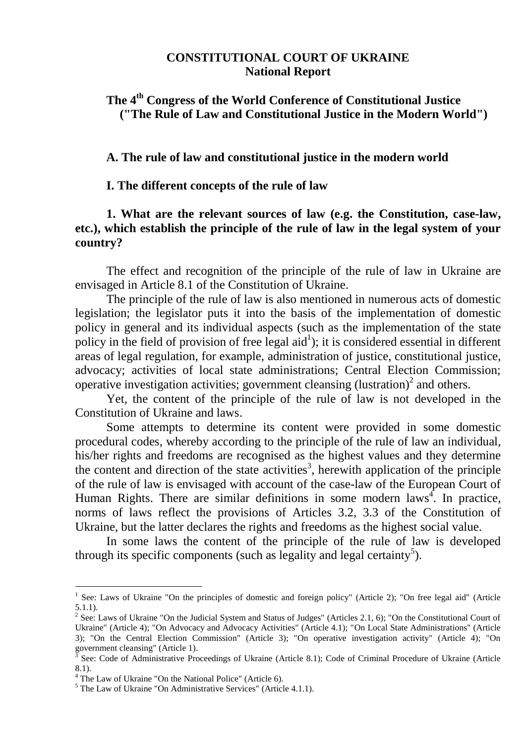#### **CONSTITUTIONAL COURT OF UKRAINE National Report**

# **The 4 th Congress of the World Conference of Constitutional Justice ("The Rule of Law and Constitutional Justice in the Modern World")**

**A. The rule of law and constitutional justice in the modern world**

**I. The different concepts of the rule of law**

### **1. What are the relevant sources of law (e.g. the Constitution, case-law, etc.), which establish the principle of the rule of law in the legal system of your country?**

The effect and recognition of the principle of the rule of law in Ukraine are envisaged in Article 8.1 of the Constitution of Ukraine.

The principle of the rule of law is also mentioned in numerous acts of domestic legislation; the legislator puts it into the basis of the implementation of domestic policy in general and its individual aspects (such as the implementation of the state policy in the field of provision of free legal  $aid^1$ ); it is considered essential in different areas of legal regulation, for example, administration of justice, constitutional justice, advocacy; activities of local state administrations; Central Election Commission; operative investigation activities; government cleansing (lustration)<sup>2</sup> and others.

Yet, the content of the principle of the rule of law is not developed in the Constitution of Ukraine and laws.

Some attempts to determine its content were provided in some domestic procedural codes, whereby according to the principle of the rule of law an individual, his/her rights and freedoms are recognised as the highest values and they determine the content and direction of the state activities<sup>3</sup>, herewith application of the principle of the rule of law is envisaged with account of the case-law of the European Court of Human Rights. There are similar definitions in some modern laws<sup>4</sup>. In practice, norms of laws reflect the provisions of Articles 3.2, 3.3 of the Constitution of Ukraine, but the latter declares the rights and freedoms as the highest social value.

In some laws the content of the principle of the rule of law is developed through its specific components (such as legality and legal certainty<sup>5</sup>).

<sup>&</sup>lt;sup>1</sup> See: Laws of Ukraine "On the principles of domestic and foreign policy" (Article 2); "On free legal aid" (Article 5.1.1).

<sup>&</sup>lt;sup>2</sup> See: Laws of Ukraine "On the Judicial System and Status of Judges" (Articles 2.1, 6); "On the Constitutional Court of Ukraine" (Article 4); "On Advocacy and Advocacy Activities" (Article 4.1); "On Local State Administrations" (Article 3); "On the Central Election Commission" (Article 3); "On operative investigation activity" (Article 4); "On government cleansing" (Article 1).

<sup>&</sup>lt;sup>3</sup> See: Code of Administrative Proceedings of Ukraine (Article 8.1); Code of Criminal Procedure of Ukraine (Article 8.1).

<sup>4</sup> The Law of Ukraine "On the National Police" (Article 6).

<sup>5</sup> The Law of Ukraine "On Administrative Services" (Article 4.1.1).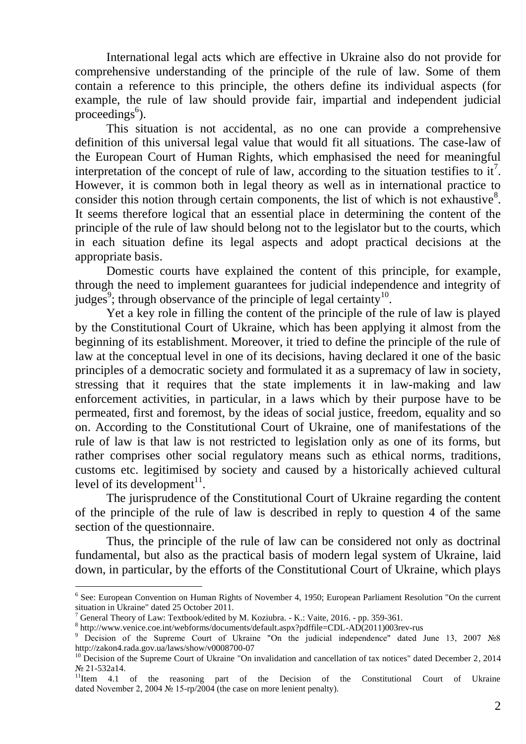International legal acts which are effective in Ukraine also do not provide for comprehensive understanding of the principle of the rule of law. Some of them contain a reference to this principle, the others define its individual aspects (for example, the rule of law should provide fair, impartial and independent judicial proceedings<sup>6</sup>).

This situation is not accidental, as no one can provide a comprehensive definition of this universal legal value that would fit all situations. The case-law of the European Court of Human Rights, which emphasised the need for meaningful interpretation of the concept of rule of law, according to the situation testifies to it<sup>7</sup>. However, it is common both in legal theory as well as in international practice to consider this notion through certain components, the list of which is not exhaustive $8$ . It seems therefore logical that an essential place in determining the content of the principle of the rule of law should belong not to the legislator but to the courts, which in each situation define its legal aspects and adopt practical decisions at the appropriate basis.

Domestic courts have explained the content of this principle, for example, through the need to implement guarantees for judicial independence and integrity of judges<sup>9</sup>; through observance of the principle of legal certainty<sup>10</sup>.

Yet a key role in filling the content of the principle of the rule of law is played by the Constitutional Court of Ukraine, which has been applying it almost from the beginning of its establishment. Moreover, it tried to define the principle of the rule of law at the conceptual level in one of its decisions, having declared it one of the basic principles of a democratic society and formulated it as a supremacy of law in society, stressing that it requires that the state implements it in law-making and law enforcement activities, in particular, in a laws which by their purpose have to be permeated, first and foremost, by the ideas of social justice, freedom, equality and so on. According to the Constitutional Court of Ukraine, one of manifestations of the rule of law is that law is not restricted to legislation only as one of its forms, but rather comprises other social regulatory means such as ethical norms, traditions, customs etc. legitimised by society and caused by a historically achieved cultural level of its development $11$ .

The jurisprudence of the Constitutional Court of Ukraine regarding the content of the principle of the rule of law is described in reply to question 4 of the same section of the questionnaire.

Thus, the principle of the rule of law can be considered not only as doctrinal fundamental, but also as the practical basis of modern legal system of Ukraine, laid down, in particular, by the efforts of the Constitutional Court of Ukraine, which plays

<sup>&</sup>lt;sup>6</sup> See: European Convention on Human Rights of November 4, 1950; European Parliament Resolution "On the current situation in Ukraine" dated 25 October 2011.

 $^7$  General Theory of Law: Textbook/edited by M. Koziubra. - K.: Vaite, 2016. - pp. 359-361.

<sup>8</sup> http://www.venice.coe.int/webforms/documents/default.aspx?pdffile=CDL-AD(2011)003rev-rus

<sup>&</sup>lt;sup>9</sup> Decision of the Supreme Court of Ukraine "On the judicial independence" dated June 13, 2007 №8 http://zakon4.rada.gov.ua/laws/show/v0008700-07

<sup>&</sup>lt;sup>10</sup> Decision of the Supreme Court of Ukraine "On invalidation and cancellation of tax notices" dated December 2, 2014 № 21-532a14.

<sup>&</sup>lt;sup>11</sup>Item 4.1 of the reasoning part of the Decision of the Constitutional Court of Ukraine dated November 2, 2004 № 15-rp/2004 (the case on more lenient penalty).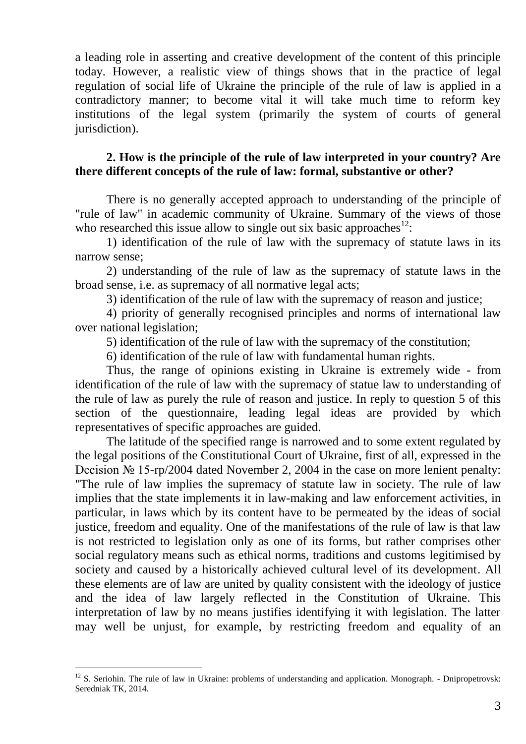a leading role in asserting and creative development of the content of this principle today. However, a realistic view of things shows that in the practice of legal regulation of social life of Ukraine the principle of the rule of law is applied in a contradictory manner; to become vital it will take much time to reform key institutions of the legal system (primarily the system of courts of general jurisdiction).

### **2. How is the principle of the rule of law interpreted in your country? Are there different concepts of the rule of law: formal, substantive or other?**

There is no generally accepted approach to understanding of the principle of "rule of law" in academic community of Ukraine. Summary of the views of those who researched this issue allow to single out six basic approaches $^{12}$ .

1) identification of the rule of law with the supremacy of statute laws in its narrow sense;

2) understanding of the rule of law as the supremacy of statute laws in the broad sense, i.e. as supremacy of all normative legal acts;

3) identification of the rule of law with the supremacy of reason and justice;

4) priority of generally recognised principles and norms of international law over national legislation;

5) identification of the rule of law with the supremacy of the constitution;

6) identification of the rule of law with fundamental human rights.

Thus, the range of opinions existing in Ukraine is extremely wide - from identification of the rule of law with the supremacy of statue law to understanding of the rule of law as purely the rule of reason and justice. In reply to question 5 of this section of the questionnaire, leading legal ideas are provided by which representatives of specific approaches are guided.

The latitude of the specified range is narrowed and to some extent regulated by the legal positions of the Constitutional Court of Ukraine, first of all, expressed in the Decision № 15-rp/2004 dated November 2, 2004 in the case on more lenient penalty: "The rule of law implies the supremacy of statute law in society. The rule of law implies that the state implements it in law-making and law enforcement activities, in particular, in laws which by its content have to be permeated by the ideas of social justice, freedom and equality. One of the manifestations of the rule of law is that law is not restricted to legislation only as one of its forms, but rather comprises other social regulatory means such as ethical norms, traditions and customs legitimised by society and caused by a historically achieved cultural level of its development. All these elements are of law are united by quality consistent with the ideology of justice and the idea of law largely reflected in the Constitution of Ukraine. This interpretation of law by no means justifies identifying it with legislation. The latter may well be unjust, for example, by restricting freedom and equality of an

 $12$  S. Seriohin. The rule of law in Ukraine: problems of understanding and application. Monograph. - Dnipropetrovsk: Seredniak TK, 2014.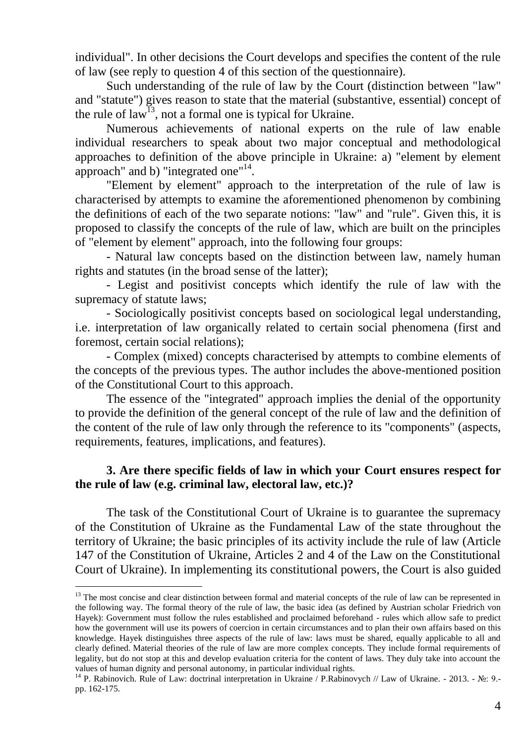individual". In other decisions the Court develops and specifies the content of the rule of law (see reply to question 4 of this section of the questionnaire).

Such understanding of the rule of law by the Court (distinction between "law" and "statute") gives reason to state that the material (substantive, essential) concept of the rule of  $law<sup>13</sup>$ , not a formal one is typical for Ukraine.

Numerous achievements of national experts on the rule of law enable individual researchers to speak about two major conceptual and methodological approaches to definition of the above principle in Ukraine: a) "element by element approach" and b) "integrated one"<sup>14</sup>.

"Element by element" approach to the interpretation of the rule of law is characterised by attempts to examine the aforementioned phenomenon by combining the definitions of each of the two separate notions: "law" and "rule". Given this, it is proposed to classify the concepts of the rule of law, which are built on the principles of "element by element" approach, into the following four groups:

- Natural law concepts based on the distinction between law, namely human rights and statutes (in the broad sense of the latter);

- Legist and positivist concepts which identify the rule of law with the supremacy of statute laws;

- Sociologically positivist concepts based on sociological legal understanding, i.e. interpretation of law organically related to certain social phenomena (first and foremost, certain social relations);

- Complex (mixed) concepts characterised by attempts to combine elements of the concepts of the previous types. The author includes the above-mentioned position of the Constitutional Court to this approach.

The essence of the "integrated" approach implies the denial of the opportunity to provide the definition of the general concept of the rule of law and the definition of the content of the rule of law only through the reference to its "components" (aspects, requirements, features, implications, and features).

# **3. Are there specific fields of law in which your Court ensures respect for the rule of law (e.g. criminal law, electoral law, etc.)?**

The task of the Constitutional Court of Ukraine is to guarantee the supremacy of the Constitution of Ukraine as the Fundamental Law of the state throughout the territory of Ukraine; the basic principles of its activity include the rule of law (Article 147 of the Constitution of Ukraine, Articles 2 and 4 of the Law on the Constitutional Court of Ukraine). In implementing its constitutional powers, the Court is also guided

 $<sup>13</sup>$  The most concise and clear distinction between formal and material concepts of the rule of law can be represented in</sup> the following way. The formal theory of the rule of law, the basic idea (as defined by Austrian scholar Friedrich von Hayek): Government must follow the rules established and proclaimed beforehand - rules which allow safe to predict how the government will use its powers of coercion in certain circumstances and to plan their own affairs based on this knowledge. Hayek distinguishes three aspects of the rule of law: laws must be shared, equally applicable to all and clearly defined. Material theories of the rule of law are more complex concepts. They include formal requirements of legality, but do not stop at this and develop evaluation criteria for the content of laws. They duly take into account the values of human dignity and personal autonomy, in particular individual rights.

<sup>&</sup>lt;sup>14</sup> P. Rabinovich. Rule of Law: doctrinal interpretation in Ukraine / P.Rabinovych // Law of Ukraine. - 2013. - №: 9.pp. 162-175.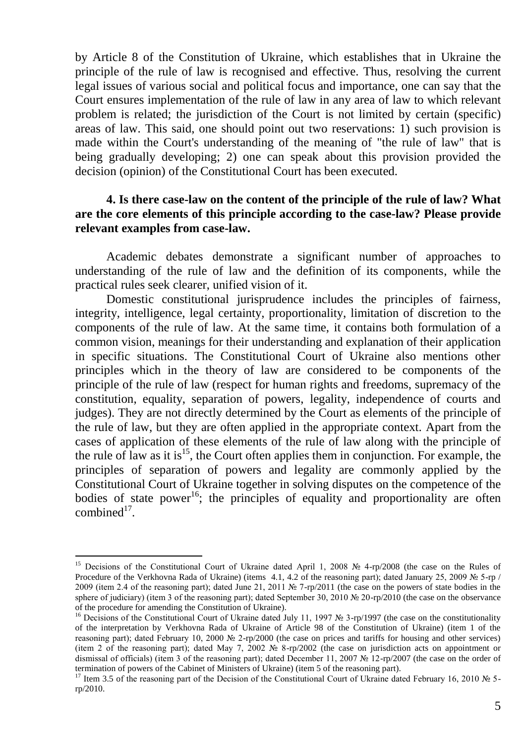by Article 8 of the Constitution of Ukraine, which establishes that in Ukraine the principle of the rule of law is recognised and effective. Thus, resolving the current legal issues of various social and political focus and importance, one can say that the Court ensures implementation of the rule of law in any area of law to which relevant problem is related; the jurisdiction of the Court is not limited by certain (specific) areas of law. This said, one should point out two reservations: 1) such provision is made within the Court's understanding of the meaning of "the rule of law" that is being gradually developing; 2) one can speak about this provision provided the decision (opinion) of the Constitutional Court has been executed.

### **4. Is there case-law on the content of the principle of the rule of law? What are the core elements of this principle according to the case-law? Please provide relevant examples from case-law.**

Academic debates demonstrate a significant number of approaches to understanding of the rule of law and the definition of its components, while the practical rules seek clearer, unified vision of it.

Domestic constitutional jurisprudence includes the principles of fairness, integrity, intelligence, legal certainty, proportionality, limitation of discretion to the components of the rule of law. At the same time, it contains both formulation of a common vision, meanings for their understanding and explanation of their application in specific situations. The Constitutional Court of Ukraine also mentions other principles which in the theory of law are considered to be components of the principle of the rule of law (respect for human rights and freedoms, supremacy of the constitution, equality, separation of powers, legality, independence of courts and judges). They are not directly determined by the Court as elements of the principle of the rule of law, but they are often applied in the appropriate context. Apart from the cases of application of these elements of the rule of law along with the principle of the rule of law as it is<sup>15</sup>, the Court often applies them in conjunction. For example, the principles of separation of powers and legality are commonly applied by the Constitutional Court of Ukraine together in solving disputes on the competence of the bodies of state power<sup>16</sup>; the principles of equality and proportionality are often combined $17$ .

<sup>15</sup> Decisions of the Constitutional Court of Ukraine dated April 1, 2008 № 4-rp/2008 (the case on the Rules of Procedure of the Verkhovna Rada of Ukraine) (items 4.1, 4.2 of the reasoning part); dated January 25, 2009 № 5-rp / 2009 (item 2.4 of the reasoning part); dated June 21, 2011 № 7-rp/2011 (the case on the powers of state bodies in the sphere of judiciary) (item 3 of the reasoning part); dated September 30, 2010 № 20-rp/2010 (the case on the observance of the procedure for amending the Constitution of Ukraine).

<sup>&</sup>lt;sup>16</sup> Decisions of the Constitutional Court of Ukraine dated July 11, 1997 № 3-rp/1997 (the case on the constitutionality of the interpretation by Verkhovna Rada of Ukraine of Article 98 of the Constitution of Ukraine) (item 1 of the reasoning part); dated February 10, 2000 № 2-rp/2000 (the case on prices and tariffs for housing and other services) (item 2 of the reasoning part); dated May 7, 2002 № 8-rp/2002 (the case on jurisdiction acts on appointment or dismissal of officials) (item 3 of the reasoning part); dated December 11, 2007 № 12-rp/2007 (the case on the order of termination of powers of the Cabinet of Ministers of Ukraine) (item 5 of the reasoning part).

<sup>&</sup>lt;sup>17</sup> Item 3.5 of the reasoning part of the Decision of the Constitutional Court of Ukraine dated February 16, 2010 № 5rp/2010.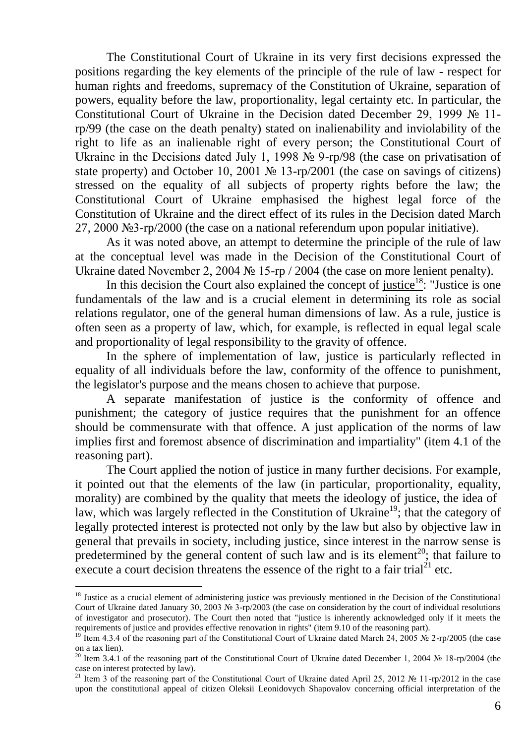The Constitutional Court of Ukraine in its very first decisions expressed the positions regarding the key elements of the principle of the rule of law - respect for human rights and freedoms, supremacy of the Constitution of Ukraine, separation of powers, equality before the law, proportionality, legal certainty etc. In particular, the Constitutional Court of Ukraine in the Decision dated December 29, 1999 № 11 rp/99 (the case on the death penalty) stated on inalienability and inviolability of the right to life as an inalienable right of every person; the Constitutional Court of Ukraine in the Decisions dated July 1, 1998 № 9-rp/98 (the case on privatisation of state property) and October 10, 2001 № 13-rp/2001 (the case on savings of citizens) stressed on the equality of all subjects of property rights before the law; the Constitutional Court of Ukraine emphasised the highest legal force of the Constitution of Ukraine and the direct effect of its rules in the Decision dated March 27, 2000 №3-rp/2000 (the case on a national referendum upon popular initiative).

As it was noted above, an attempt to determine the principle of the rule of law at the conceptual level was made in the Decision of the Constitutional Court of Ukraine dated November 2, 2004 № 15-rp / 2004 (the case on more lenient penalty).

In this decision the Court also explained the concept of justice<sup>18</sup>: "Justice is one fundamentals of the law and is a crucial element in determining its role as social relations regulator, one of the general human dimensions of law. As a rule, justice is often seen as a property of law, which, for example, is reflected in equal legal scale and proportionality of legal responsibility to the gravity of offence.

In the sphere of implementation of law, justice is particularly reflected in equality of all individuals before the law, conformity of the offence to punishment, the legislator's purpose and the means chosen to achieve that purpose.

A separate manifestation of justice is the conformity of offence and punishment; the category of justice requires that the punishment for an offence should be commensurate with that offence. A just application of the norms of law implies first and foremost absence of discrimination and impartiality" (item 4.1 of the reasoning part).

The Court applied the notion of justice in many further decisions. For example, it pointed out that the elements of the law (in particular, proportionality, equality, morality) are combined by the quality that meets the ideology of justice, the idea of law, which was largely reflected in the Constitution of Ukraine<sup>19</sup>; that the category of legally protected interest is protected not only by the law but also by objective law in general that prevails in society, including justice, since interest in the narrow sense is predetermined by the general content of such law and is its element<sup>20</sup>; that failure to execute a court decision threatens the essence of the right to a fair trial<sup>21</sup> etc.

<sup>&</sup>lt;sup>18</sup> Justice as a crucial element of administering justice was previously mentioned in the Decision of the Constitutional Court of Ukraine dated January 30, 2003 № 3-rp/2003 (the case on consideration by the court of individual resolutions of investigator and prosecutor). The Court then noted that "justice is inherently acknowledged only if it meets the requirements of justice and provides effective renovation in rights" (item 9.10 of the reasoning part).

<sup>&</sup>lt;sup>19</sup> Item 4.3.4 of the reasoning part of the Constitutional Court of Ukraine dated March 24, 2005 № 2-rp/2005 (the case on a tax lien).

<sup>&</sup>lt;sup>20</sup> Item 3.4.1 of the reasoning part of the Constitutional Court of Ukraine dated December 1, 2004 № 18-rp/2004 (the case on interest protected by law).

<sup>&</sup>lt;sup>21</sup> Item 3 of the reasoning part of the Constitutional Court of Ukraine dated April 25, 2012 № 11-rp/2012 in the case upon the constitutional appeal of citizen Oleksii Leonidovych Shapovalov concerning official interpretation of the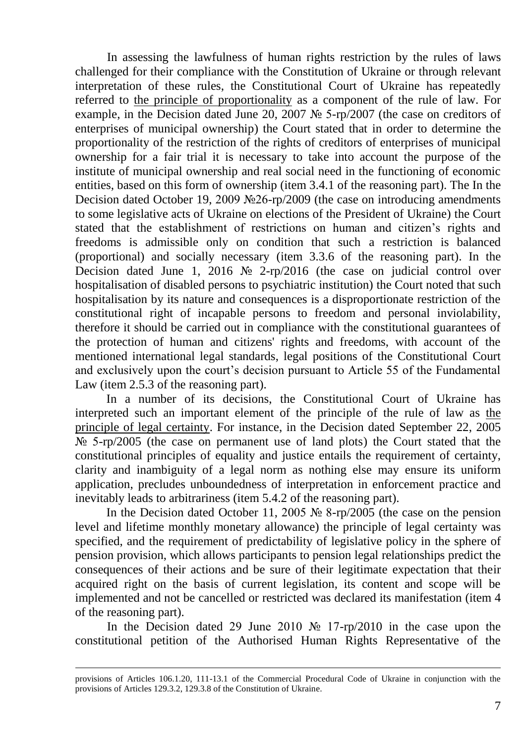In assessing the lawfulness of human rights restriction by the rules of laws challenged for their compliance with the Constitution of Ukraine or through relevant interpretation of these rules, the Constitutional Court of Ukraine has repeatedly referred to the principle of proportionality as a component of the rule of law. For example, in the Decision dated June 20, 2007 № 5-rp/2007 (the case on creditors of enterprises of municipal ownership) the Court stated that in order to determine the proportionality of the restriction of the rights of creditors of enterprises of municipal ownership for a fair trial it is necessary to take into account the purpose of the institute of municipal ownership and real social need in the functioning of economic entities, based on this form of ownership (item 3.4.1 of the reasoning part). The In the Decision dated October 19, 2009 №26-rp/2009 (the case on introducing amendments to some legislative acts of Ukraine on elections of the President of Ukraine) the Court stated that the establishment of restrictions on human and citizen's rights and freedoms is admissible only on condition that such a restriction is balanced (proportional) and socially necessary (item 3.3.6 of the reasoning part). In the Decision dated June 1, 2016 № 2-rp/2016 (the case on judicial control over hospitalisation of disabled persons to psychiatric institution) the Court noted that such hospitalisation by its nature and consequences is a disproportionate restriction of the constitutional right of incapable persons to freedom and personal inviolability, therefore it should be carried out in compliance with the constitutional guarantees of the protection of human and citizens' rights and freedoms, with account of the mentioned international legal standards, legal positions of the Constitutional Court and exclusively upon the court's decision pursuant to Article 55 of the Fundamental Law (item 2.5.3 of the reasoning part).

In a number of its decisions, the Constitutional Court of Ukraine has interpreted such an important element of the principle of the rule of law as the principle of legal certainty. For instance, in the Decision dated September 22, 2005  $\mathbb{N}_{\mathbb{P}}$  5-rp/2005 (the case on permanent use of land plots) the Court stated that the constitutional principles of equality and justice entails the requirement of certainty, clarity and inambiguity of a legal norm as nothing else may ensure its uniform application, precludes unboundedness of interpretation in enforcement practice and inevitably leads to arbitrariness (item 5.4.2 of the reasoning part).

In the Decision dated October 11, 2005 № 8-rp/2005 (the case on the pension level and lifetime monthly monetary allowance) the principle of legal certainty was specified, and the requirement of predictability of legislative policy in the sphere of pension provision, which allows participants to pension legal relationships predict the consequences of their actions and be sure of their legitimate expectation that their acquired right on the basis of current legislation, its content and scope will be implemented and not be cancelled or restricted was declared its manifestation (item 4 of the reasoning part).

In the Decision dated 29 June 2010 № 17-rp/2010 in the case upon the constitutional petition of the Authorised Human Rights Representative of the

provisions of Articles 106.1.20, 111-13.1 of the Commercial Procedural Code of Ukraine in conjunction with the provisions of Articles 129.3.2, 129.3.8 of the Constitution of Ukraine.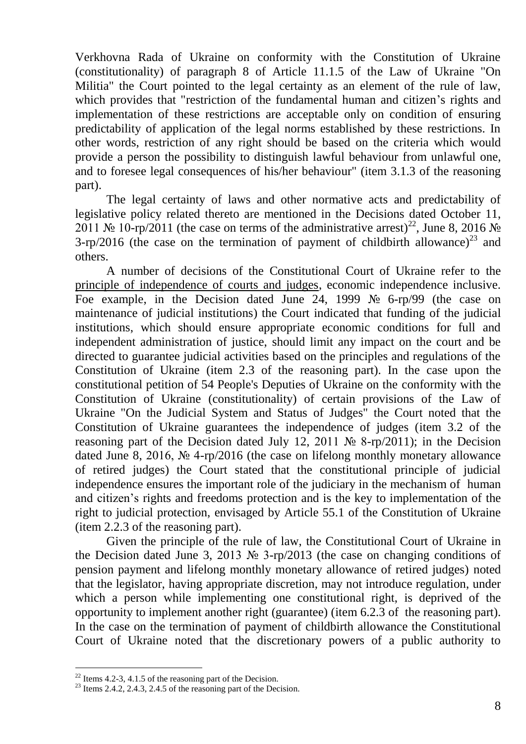Verkhovna Rada of Ukraine on conformity with the Constitution of Ukraine (constitutionality) of paragraph 8 of Article 11.1.5 of the Law of Ukraine "On Militia" the Court pointed to the legal certainty as an element of the rule of law, which provides that "restriction of the fundamental human and citizen's rights and implementation of these restrictions are acceptable only on condition of ensuring predictability of application of the legal norms established by these restrictions. In other words, restriction of any right should be based on the criteria which would provide a person the possibility to distinguish lawful behaviour from unlawful one, and to foresee legal consequences of his/her behaviour" (item 3.1.3 of the reasoning part).

The legal certainty of laws and other normative acts and predictability of legislative policy related thereto are mentioned in the Decisions dated October 11, 2011 № 10-rp/2011 (the case on terms of the administrative arrest)<sup>22</sup>, June 8, 2016 № 3-rp/2016 (the case on the termination of payment of childbirth allowance)<sup>23</sup> and others.

A number of decisions of the Constitutional Court of Ukraine refer to the principle of independence of courts and judges, economic independence inclusive. Foe example, in the Decision dated June 24, 1999  $\mathcal{N}_2$  6-rp/99 (the case on maintenance of judicial institutions) the Court indicated that funding of the judicial institutions, which should ensure appropriate economic conditions for full and independent administration of justice, should limit any impact on the court and be directed to guarantee judicial activities based on the principles and regulations of the Constitution of Ukraine (item 2.3 of the reasoning part). In the case upon the constitutional petition of 54 People's Deputies of Ukraine on the conformity with the Constitution of Ukraine (constitutionality) of certain provisions of the Law of Ukraine "On the Judicial System and Status of Judges" the Court noted that the Constitution of Ukraine guarantees the independence of judges (item 3.2 of the reasoning part of the Decision dated July 12, 2011 № 8-rp/2011); in the Decision dated June 8, 2016, № 4-rp/2016 (the case on lifelong monthly monetary allowance of retired judges) the Court stated that the constitutional principle of judicial independence ensures the important role of the judiciary in the mechanism of human and citizen's rights and freedoms protection and is the key to implementation of the right to judicial protection, envisaged by Article 55.1 of the Constitution of Ukraine (item 2.2.3 of the reasoning part).

Given the principle of the rule of law, the Constitutional Court of Ukraine in the Decision dated June 3, 2013 № 3-rp/2013 (the case on changing conditions of pension payment and lifelong monthly monetary allowance of retired judges) noted that the legislator, having appropriate discretion, may not introduce regulation, under which a person while implementing one constitutional right, is deprived of the opportunity to implement another right (guarantee) (item 6.2.3 of the reasoning part). In the case on the termination of payment of childbirth allowance the Constitutional Court of Ukraine noted that the discretionary powers of a public authority to

 $22$  Items 4.2-3, 4.1.5 of the reasoning part of the Decision.

<sup>&</sup>lt;sup>23</sup> Items 2.4.2, 2.4.3, 2.4.5 of the reasoning part of the Decision.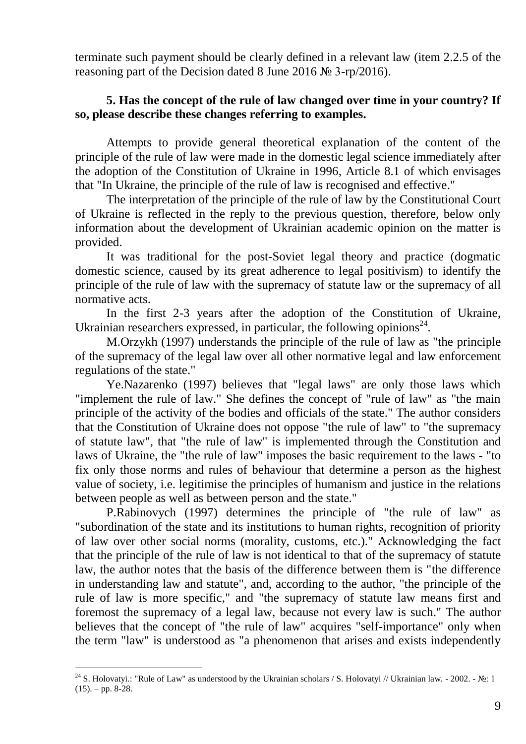terminate such payment should be clearly defined in a relevant law (item 2.2.5 of the reasoning part of the Decision dated 8 June 2016 № 3-rp/2016).

# **5. Has the concept of the rule of law changed over time in your country? If so, please describe these changes referring to examples.**

Attempts to provide general theoretical explanation of the content of the principle of the rule of law were made in the domestic legal science immediately after the adoption of the Constitution of Ukraine in 1996, Article 8.1 of which envisages that "In Ukraine, the principle of the rule of law is recognised and effective."

The interpretation of the principle of the rule of law by the Constitutional Court of Ukraine is reflected in the reply to the previous question, therefore, below only information about the development of Ukrainian academic opinion on the matter is provided.

It was traditional for the post-Soviet legal theory and practice (dogmatic domestic science, caused by its great adherence to legal positivism) to identify the principle of the rule of law with the supremacy of statute law or the supremacy of all normative acts.

In the first 2-3 years after the adoption of the Constitution of Ukraine, Ukrainian researchers expressed, in particular, the following opinions $24$ .

M.Orzykh (1997) understands the principle of the rule of law as "the principle of the supremacy of the legal law over all other normative legal and law enforcement regulations of the state."

Ye.Nazarenko (1997) believes that "legal laws" are only those laws which "implement the rule of law." She defines the concept of "rule of law" as "the main principle of the activity of the bodies and officials of the state." The author considers that the Constitution of Ukraine does not oppose "the rule of law" to "the supremacy of statute law", that "the rule of law" is implemented through the Constitution and laws of Ukraine, the "the rule of law" imposes the basic requirement to the laws - "to fix only those norms and rules of behaviour that determine a person as the highest value of society, i.e. legitimise the principles of humanism and justice in the relations between people as well as between person and the state."

P.Rabinovych (1997) determines the principle of "the rule of law" as "subordination of the state and its institutions to human rights, recognition of priority of law over other social norms (morality, customs, etc.)." Acknowledging the fact that the principle of the rule of law is not identical to that of the supremacy of statute law, the author notes that the basis of the difference between them is "the difference in understanding law and statute", and, according to the author, "the principle of the rule of law is more specific," and "the supremacy of statute law means first and foremost the supremacy of a legal law, because not every law is such." The author believes that the concept of "the rule of law" acquires "self-importance" only when the term "law" is understood as "a phenomenon that arises and exists independently

<sup>&</sup>lt;sup>24</sup> S. Holovatyi.: "Rule of Law" as understood by the Ukrainian scholars / S. Holovatyi // Ukrainian law. - 2002. - №: 1  $(15)$ . – pp. 8-28.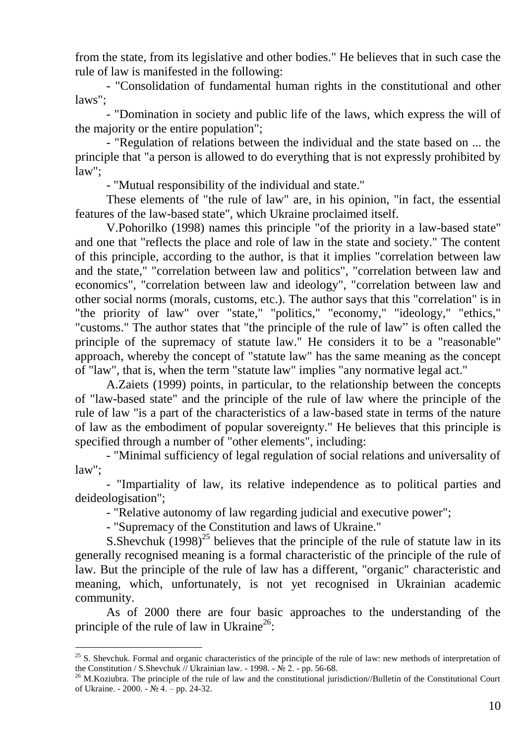from the state, from its legislative and other bodies." He believes that in such case the rule of law is manifested in the following:

- "Consolidation of fundamental human rights in the constitutional and other laws";

- "Domination in society and public life of the laws, which express the will of the majority or the entire population";

- "Regulation of relations between the individual and the state based on ... the principle that "a person is allowed to do everything that is not expressly prohibited by law";

- "Mutual responsibility of the individual and state."

These elements of "the rule of law" are, in his opinion, "in fact, the essential features of the law-based state", which Ukraine proclaimed itself.

V.Pohorilko (1998) names this principle "of the priority in a law-based state" and one that "reflects the place and role of law in the state and society." The content of this principle, according to the author, is that it implies "correlation between law and the state," "correlation between law and politics", "correlation between law and economics", "correlation between law and ideology", "correlation between law and other social norms (morals, customs, etc.). The author says that this "correlation" is in "the priority of law" over "state," "politics," "economy," "ideology," "ethics," "customs." The author states that "the principle of the rule of law" is often called the principle of the supremacy of statute law." He considers it to be a "reasonable" approach, whereby the concept of "statute law" has the same meaning as the concept of "law", that is, when the term "statute law" implies "any normative legal act."

A.Zaiets (1999) points, in particular, to the relationship between the concepts of "law-based state" and the principle of the rule of law where the principle of the rule of law "is a part of the characteristics of a law-based state in terms of the nature of law as the embodiment of popular sovereignty." He believes that this principle is specified through a number of "other elements", including:

- "Minimal sufficiency of legal regulation of social relations and universality of law";

- "Impartiality of law, its relative independence as to political parties and deideologisation";

- "Relative autonomy of law regarding judicial and executive power";

- "Supremacy of the Constitution and laws of Ukraine."

-

S. Shevchuk  $(1998)^{25}$  believes that the principle of the rule of statute law in its generally recognised meaning is a formal characteristic of the principle of the rule of law. But the principle of the rule of law has a different, "organic" characteristic and meaning, which, unfortunately, is not yet recognised in Ukrainian academic community.

As of 2000 there are four basic approaches to the understanding of the principle of the rule of law in Ukraine<sup>26</sup>:

 $25$  S. Shevchuk. Formal and organic characteristics of the principle of the rule of law: new methods of interpretation of the Constitution / S.Shevchuk // Ukrainian law. - 1998. -  $N_2$  2. - pp. 56-68.

<sup>&</sup>lt;sup>26</sup> M.Koziubra. The principle of the rule of law and the constitutional jurisdiction//Bulletin of the Constitutional Court of Ukraine. - 2000. - № 4. – pp. 24-32.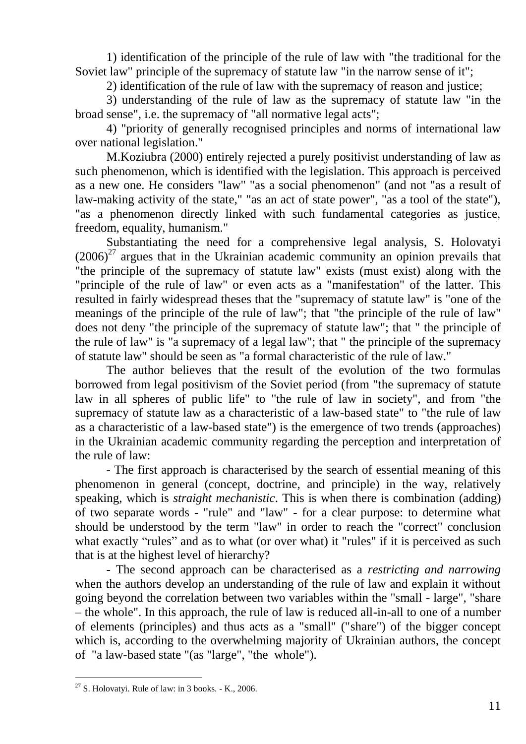1) identification of the principle of the rule of law with "the traditional for the Soviet law" principle of the supremacy of statute law "in the narrow sense of it";

2) identification of the rule of law with the supremacy of reason and justice;

3) understanding of the rule of law as the supremacy of statute law "in the broad sense", i.e. the supremacy of "all normative legal acts";

4) "priority of generally recognised principles and norms of international law over national legislation."

M.Koziubra (2000) entirely rejected a purely positivist understanding of law as such phenomenon, which is identified with the legislation. This approach is perceived as a new one. He considers "law" "as a social phenomenon" (and not "as a result of law-making activity of the state," "as an act of state power", "as a tool of the state"), "as a phenomenon directly linked with such fundamental categories as justice, freedom, equality, humanism."

Substantiating the need for a comprehensive legal analysis, S. Holovatyi  $(2006)^{27}$  argues that in the Ukrainian academic community an opinion prevails that "the principle of the supremacy of statute law" exists (must exist) along with the "principle of the rule of law" or even acts as a "manifestation" of the latter. This resulted in fairly widespread theses that the "supremacy of statute law" is "one of the meanings of the principle of the rule of law"; that "the principle of the rule of law" does not deny "the principle of the supremacy of statute law"; that " the principle of the rule of law" is "a supremacy of a legal law"; that " the principle of the supremacy of statute law" should be seen as "a formal characteristic of the rule of law."

The author believes that the result of the evolution of the two formulas borrowed from legal positivism of the Soviet period (from "the supremacy of statute law in all spheres of public life" to "the rule of law in society", and from "the supremacy of statute law as a characteristic of a law-based state" to "the rule of law as a characteristic of a law-based state") is the emergence of two trends (approaches) in the Ukrainian academic community regarding the perception and interpretation of the rule of law:

- The first approach is characterised by the search of essential meaning of this phenomenon in general (concept, doctrine, and principle) in the way, relatively speaking, which is *straight mechanistic*. This is when there is combination (adding) of two separate words - "rule" and "law" - for a clear purpose: to determine what should be understood by the term "law" in order to reach the "correct" conclusion what exactly "rules" and as to what (or over what) it "rules" if it is perceived as such that is at the highest level of hierarchy?

- The second approach can be characterised as a *restricting and narrowing* when the authors develop an understanding of the rule of law and explain it without going beyond the correlation between two variables within the "small - large", "share – the whole". In this approach, the rule of law is reduced all-in-all to one of a number of elements (principles) and thus acts as a "small" ("share") of the bigger concept which is, according to the overwhelming majority of Ukrainian authors, the concept of "a law-based state "(as "large", "the whole").

<sup>-</sup> $27$  S. Holovatyi. Rule of law: in 3 books. - K., 2006.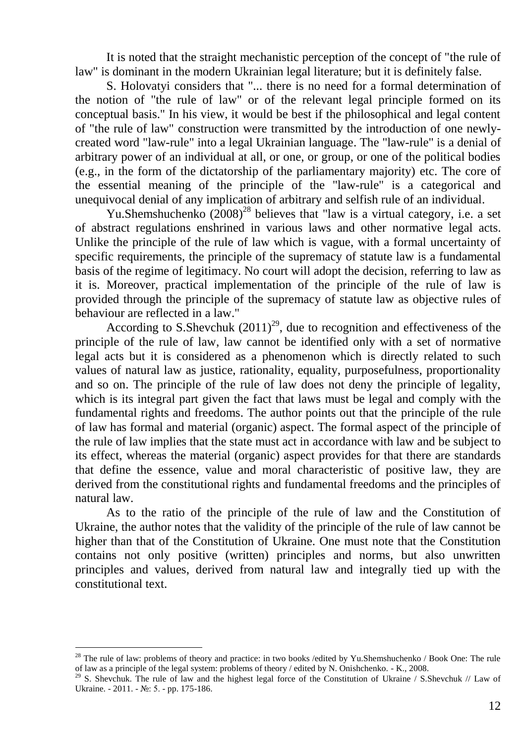It is noted that the straight mechanistic perception of the concept of "the rule of law" is dominant in the modern Ukrainian legal literature; but it is definitely false.

S. Holovatyi considers that "... there is no need for a formal determination of the notion of "the rule of law" or of the relevant legal principle formed on its conceptual basis." In his view, it would be best if the philosophical and legal content of "the rule of law" construction were transmitted by the introduction of one newlycreated word "law-rule" into a legal Ukrainian language. The "law-rule" is a denial of arbitrary power of an individual at all, or one, or group, or one of the political bodies (e.g., in the form of the dictatorship of the parliamentary majority) etc. The core of the essential meaning of the principle of the "law-rule" is a categorical and unequivocal denial of any implication of arbitrary and selfish rule of an individual.

Yu.Shemshuchenko  $(2008)^{28}$  believes that "law is a virtual category, i.e. a set of abstract regulations enshrined in various laws and other normative legal acts. Unlike the principle of the rule of law which is vague, with a formal uncertainty of specific requirements, the principle of the supremacy of statute law is a fundamental basis of the regime of legitimacy. No court will adopt the decision, referring to law as it is. Moreover, practical implementation of the principle of the rule of law is provided through the principle of the supremacy of statute law as objective rules of behaviour are reflected in a law."

According to S.Shevchuk  $(2011)^{29}$ , due to recognition and effectiveness of the principle of the rule of law, law cannot be identified only with a set of normative legal acts but it is considered as a phenomenon which is directly related to such values of natural law as justice, rationality, equality, purposefulness, proportionality and so on. The principle of the rule of law does not deny the principle of legality, which is its integral part given the fact that laws must be legal and comply with the fundamental rights and freedoms. The author points out that the principle of the rule of law has formal and material (organic) aspect. The formal aspect of the principle of the rule of law implies that the state must act in accordance with law and be subject to its effect, whereas the material (organic) aspect provides for that there are standards that define the essence, value and moral characteristic of positive law, they are derived from the constitutional rights and fundamental freedoms and the principles of natural law.

As to the ratio of the principle of the rule of law and the Constitution of Ukraine, the author notes that the validity of the principle of the rule of law cannot be higher than that of the Constitution of Ukraine. One must note that the Constitution contains not only positive (written) principles and norms, but also unwritten principles and values, derived from natural law and integrally tied up with the constitutional text.

 $^{28}$  The rule of law: problems of theory and practice: in two books /edited by Yu.Shemshuchenko / Book One: The rule of law as a principle of the legal system: problems of theory / edited by N. Onishchenko. - K., 2008.

<sup>&</sup>lt;sup>29</sup> S. Shevchuk. The rule of law and the highest legal force of the Constitution of Ukraine / S.Shevchuk // Law of Ukraine. - 2011. - №: 5. - pp. 175-186.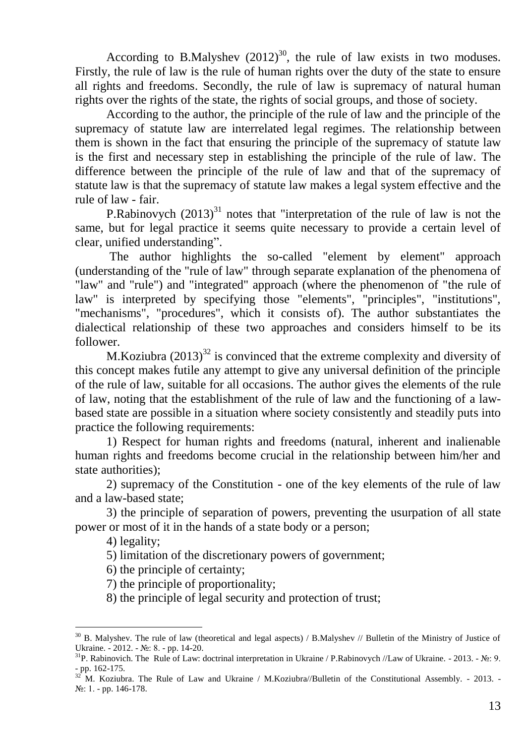According to B.Malyshev  $(2012)^{30}$ , the rule of law exists in two moduses. Firstly, the rule of law is the rule of human rights over the duty of the state to ensure all rights and freedoms. Secondly, the rule of law is supremacy of natural human rights over the rights of the state, the rights of social groups, and those of society.

According to the author, the principle of the rule of law and the principle of the supremacy of statute law are interrelated legal regimes. The relationship between them is shown in the fact that ensuring the principle of the supremacy of statute law is the first and necessary step in establishing the principle of the rule of law. The difference between the principle of the rule of law and that of the supremacy of statute law is that the supremacy of statute law makes a legal system effective and the rule of law - fair.

P.Rabinovych  $(2013)^{31}$  notes that "interpretation of the rule of law is not the same, but for legal practice it seems quite necessary to provide a certain level of clear, unified understanding".

The author highlights the so-called "element by element" approach (understanding of the "rule of law" through separate explanation of the phenomena of "law" and "rule") and "integrated" approach (where the phenomenon of "the rule of law" is interpreted by specifying those "elements", "principles", "institutions", "mechanisms", "procedures", which it consists of). The author substantiates the dialectical relationship of these two approaches and considers himself to be its follower.

M.Koziubra  $(2013)^{32}$  is convinced that the extreme complexity and diversity of this concept makes futile any attempt to give any universal definition of the principle of the rule of law, suitable for all occasions. The author gives the elements of the rule of law, noting that the establishment of the rule of law and the functioning of a lawbased state are possible in a situation where society consistently and steadily puts into practice the following requirements:

1) Respect for human rights and freedoms (natural, inherent and inalienable human rights and freedoms become crucial in the relationship between him/her and state authorities);

2) supremacy of the Constitution - one of the key elements of the rule of law and a law-based state;

3) the principle of separation of powers, preventing the usurpation of all state power or most of it in the hands of a state body or a person;

4) legality;

 $\overline{a}$ 

5) limitation of the discretionary powers of government;

6) the principle of certainty;

7) the principle of proportionality;

8) the principle of legal security and protection of trust;

 $30$  B. Malyshev. The rule of law (theoretical and legal aspects) / B.Malyshev // Bulletin of the Ministry of Justice of Ukraine. - 2012. - №: 8. - pp. 14-20.

<sup>&</sup>lt;sup>31</sup>P. Rabinovich. The Rule of Law: doctrinal interpretation in Ukraine / P.Rabinovych //Law of Ukraine. - 2013. - №: 9. - pp. 162-175.

 $32$  M. Koziubra. The Rule of Law and Ukraine / M. Koziubra//Bulletin of the Constitutional Assembly. - 2013. -№: 1. - pp. 146-178.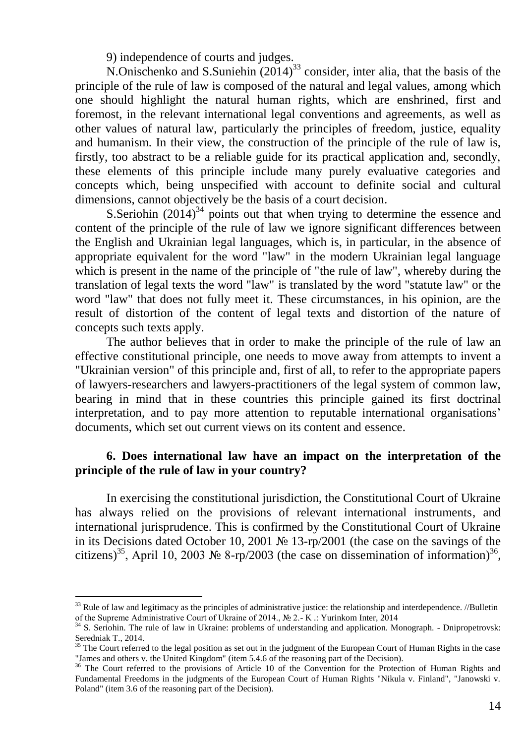9) independence of courts and judges.

N.Onischenko and S.Suniehin  $(2014)^{33}$  consider, inter alia, that the basis of the principle of the rule of law is composed of the natural and legal values, among which one should highlight the natural human rights, which are enshrined, first and foremost, in the relevant international legal conventions and agreements, as well as other values of natural law, particularly the principles of freedom, justice, equality and humanism. In their view, the construction of the principle of the rule of law is, firstly, too abstract to be a reliable guide for its practical application and, secondly, these elements of this principle include many purely evaluative categories and concepts which, being unspecified with account to definite social and cultural dimensions, cannot objectively be the basis of a court decision.

S.Seriohin  $(2014)^{34}$  points out that when trying to determine the essence and content of the principle of the rule of law we ignore significant differences between the English and Ukrainian legal languages, which is, in particular, in the absence of appropriate equivalent for the word "law" in the modern Ukrainian legal language which is present in the name of the principle of "the rule of law", whereby during the translation of legal texts the word "law" is translated by the word "statute law" or the word "law" that does not fully meet it. These circumstances, in his opinion, are the result of distortion of the content of legal texts and distortion of the nature of concepts such texts apply.

The author believes that in order to make the principle of the rule of law an effective constitutional principle, one needs to move away from attempts to invent a "Ukrainian version" of this principle and, first of all, to refer to the appropriate papers of lawyers-researchers and lawyers-practitioners of the legal system of common law, bearing in mind that in these countries this principle gained its first doctrinal interpretation, and to pay more attention to reputable international organisations' documents, which set out current views on its content and essence.

## **6. Does international law have an impact on the interpretation of the principle of the rule of law in your country?**

In exercising the constitutional jurisdiction, the Constitutional Court of Ukraine has always relied on the provisions of relevant international instruments, and international jurisprudence. This is confirmed by the Constitutional Court of Ukraine in its Decisions dated October 10, 2001 № 13-rp/2001 (the case on the savings of the citizens)<sup>35</sup>, April 10, 2003 № 8-rp/2003 (the case on dissemination of information)<sup>36</sup>,

 $33$  Rule of law and legitimacy as the principles of administrative justice: the relationship and interdependence. //Bulletin of the Supreme Administrative Court of Ukraine of 2014., № 2.- K .: Yurinkom Inter, 2014

<sup>&</sup>lt;sup>34</sup> S. Seriohin. The rule of law in Ukraine: problems of understanding and application. Monograph. - Dnipropetrovsk: Seredniak T., 2014.

<sup>&</sup>lt;sup>35</sup> The Court referred to the legal position as set out in the judgment of the European Court of Human Rights in the case "James and others v. the United Kingdom" (item 5.4.6 of the reasoning part of the Decision).

<sup>&</sup>lt;sup>36</sup> The Court referred to the provisions of Article 10 of the Convention for the Protection of Human Rights and Fundamental Freedoms in the judgments of the European Court of Human Rights "Nikula v. Finland", "Janowski v. Poland" (item 3.6 of the reasoning part of the Decision).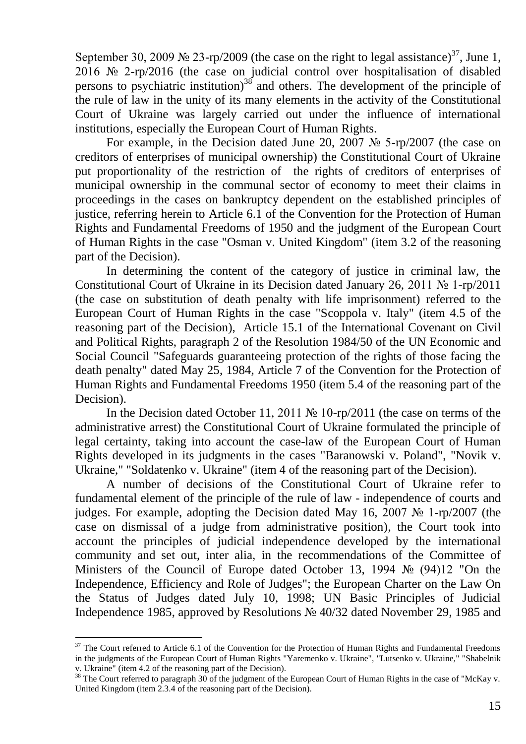September 30, 2009 № 23-rp/2009 (the case on the right to legal assistance)<sup>37</sup>, June 1, 2016 № 2-rp/2016 (the case on judicial control over hospitalisation of disabled persons to psychiatric institution) $38$  and others. The development of the principle of the rule of law in the unity of its many elements in the activity of the Constitutional Court of Ukraine was largely carried out under the influence of international institutions, especially the European Court of Human Rights.

For example, in the Decision dated June 20, 2007 № 5-rp/2007 (the case on creditors of enterprises of municipal ownership) the Constitutional Court of Ukraine put proportionality of the restriction of the rights of creditors of enterprises of municipal ownership in the communal sector of economy to meet their claims in proceedings in the cases on bankruptcy dependent on the established principles of justice, referring herein to Article 6.1 of the Convention for the Protection of Human Rights and Fundamental Freedoms of 1950 and the judgment of the European Court of Human Rights in the case "Osman v. United Kingdom" (item 3.2 of the reasoning part of the Decision).

In determining the content of the category of justice in criminal law, the Constitutional Court of Ukraine in its Decision dated January 26, 2011 № 1-rp/2011 (the case on substitution of death penalty with life imprisonment) referred to the European Court of Human Rights in the case "Scoppola v. Italy" (item 4.5 of the reasoning part of the Decision), Article 15.1 of the International Covenant on Civil and Political Rights, paragraph 2 of the Resolution 1984/50 of the UN Economic and Social Council "Safeguards guaranteeing protection of the rights of those facing the death penalty" dated May 25, 1984, Article 7 of the Convention for the Protection of Human Rights and Fundamental Freedoms 1950 (item 5.4 of the reasoning part of the Decision).

In the Decision dated October 11, 2011 № 10-rp/2011 (the case on terms of the administrative arrest) the Constitutional Court of Ukraine formulated the principle of legal certainty, taking into account the case-law of the European Court of Human Rights developed in its judgments in the cases "Baranowski v. Poland", "Novik v. Ukraine," "Soldatenko v. Ukraine" (item 4 of the reasoning part of the Decision).

A number of decisions of the Constitutional Court of Ukraine refer to fundamental element of the principle of the rule of law - independence of courts and judges. For example, adopting the Decision dated May 16, 2007  $\mathcal{N}_2$  1-rp/2007 (the case on dismissal of a judge from administrative position), the Court took into account the principles of judicial independence developed by the international community and set out, inter alia, in the recommendations of the Committee of Ministers of the Council of Europe dated October 13, 1994 № (94)12 "On the Independence, Efficiency and Role of Judges"; the European Charter on the Law On the Status of Judges dated July 10, 1998; UN Basic Principles of Judicial Independence 1985, approved by Resolutions № 40/32 dated November 29, 1985 and

 $37$  The Court referred to Article 6.1 of the Convention for the Protection of Human Rights and Fundamental Freedoms in the judgments of the European Court of Human Rights "Yaremenko v. Ukraine", "Lutsenko v. Ukraine," "Shabelnik v. Ukraine" (item 4.2 of the reasoning part of the Decision).

<sup>&</sup>lt;sup>38</sup> The Court referred to paragraph 30 of the judgment of the European Court of Human Rights in the case of "McKay v. United Kingdom (item 2.3.4 of the reasoning part of the Decision).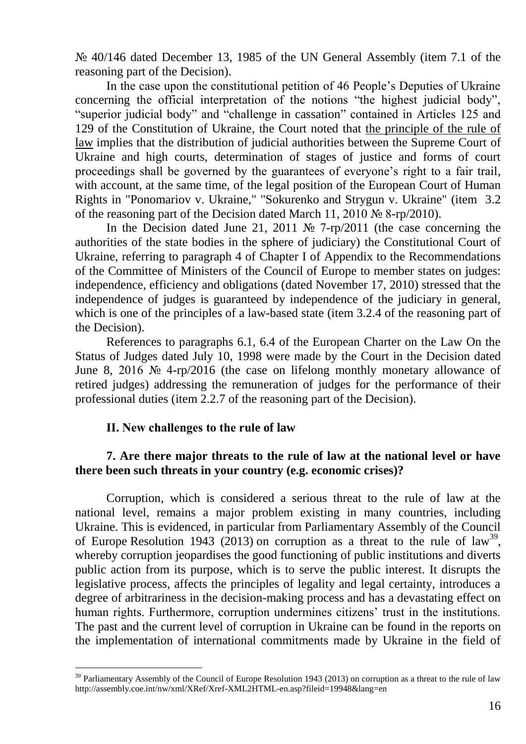№ 40/146 dated December 13, 1985 of the UN General Assembly (item 7.1 of the reasoning part of the Decision).

In the case upon the constitutional petition of 46 People's Deputies of Ukraine concerning the official interpretation of the notions "the highest judicial body", "superior judicial body" and "challenge in cassation" contained in Articles 125 and 129 of the Constitution of Ukraine, the Court noted that the principle of the rule of law implies that the distribution of judicial authorities between the Supreme Court of Ukraine and high courts, determination of stages of justice and forms of court proceedings shall be governed by the guarantees of everyone's right to a fair trail, with account, at the same time, of the legal position of the European Court of Human Rights in "Ponomariov v. Ukraine," "Sokurenko and Strygun v. Ukraine" (item 3.2 of the reasoning part of the Decision dated March 11, 2010 № 8-rp/2010).

In the Decision dated June 21, 2011 № 7-rp/2011 (the case concerning the authorities of the state bodies in the sphere of judiciary) the Constitutional Court of Ukraine, referring to paragraph 4 of Chapter I of Appendix to the Recommendations of the Committee of Ministers of the Council of Europe to member states on judges: independence, efficiency and obligations (dated November 17, 2010) stressed that the independence of judges is guaranteed by independence of the judiciary in general, which is one of the principles of a law-based state (item 3.2.4 of the reasoning part of the Decision).

References to paragraphs 6.1, 6.4 of the European Charter on the Law On the Status of Judges dated July 10, 1998 were made by the Court in the Decision dated June 8, 2016 № 4-rp/2016 (the case on lifelong monthly monetary allowance of retired judges) addressing the remuneration of judges for the performance of their professional duties (item 2.2.7 of the reasoning part of the Decision).

#### **ІІ. New challenges to the rule of law**

 $\overline{a}$ 

## **7. Are there major threats to the rule of law at the national level or have there been such threats in your country (e.g. economic crises)?**

Corruption, which is considered a serious threat to the rule of law at the national level, remains a major problem existing in many countries, including Ukraine. This is evidenced, in particular from Parliamentary Assembly of the Council of Europe Resolution 1943 (2013) on corruption as a threat to the rule of law<sup>39</sup>, whereby corruption jeopardises the good functioning of public institutions and diverts public action from its purpose, which is to serve the public interest. It disrupts the legislative process, affects the principles of legality and legal certainty, introduces a degree of arbitrariness in the decision-making process and has a devastating effect on human rights. Furthermore, corruption undermines citizens' trust in the institutions. The past and the current level of corruption in Ukraine can be found in the reports on the implementation of international commitments made by Ukraine in the field of

 $39$  Parliamentary Assembly of the Council of Europe Resolution 1943 (2013) on corruption as a threat to the rule of law http://assembly.coe.int/nw/xml/XRef/Xref-XML2HTML-en.asp?fileid=19948&lang=en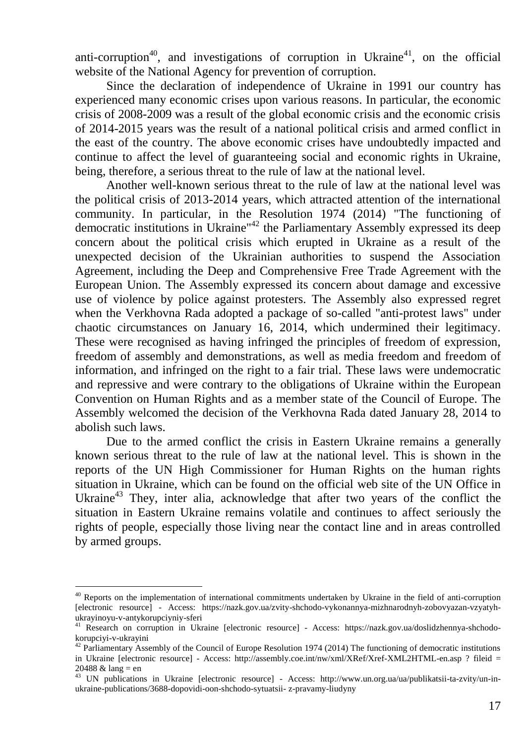anti-corruption<sup>40</sup>, and investigations of corruption in Ukraine<sup>41</sup>, on the official website of the National Agency for prevention of corruption.

Since the declaration of independence of Ukraine in 1991 our country has experienced many economic crises upon various reasons. In particular, the economic crisis of 2008-2009 was a result of the global economic crisis and the economic crisis of 2014-2015 years was the result of a national political crisis and armed conflict in the east of the country. The above economic crises have undoubtedly impacted and continue to affect the level of guaranteeing social and economic rights in Ukraine, being, therefore, a serious threat to the rule of law at the national level.

Another well-known serious threat to the rule of law at the national level was the political crisis of 2013-2014 years, which attracted attention of the international community. In particular, in the Resolution 1974 (2014) "The functioning of democratic institutions in Ukraine"<sup>42</sup> the Parliamentary Assembly expressed its deep concern about the political crisis which erupted in Ukraine as a result of the unexpected decision of the Ukrainian authorities to suspend the Association Agreement, including the Deep and Comprehensive Free Trade Agreement with the European Union. The Assembly expressed its concern about damage and excessive use of violence by police against protesters. The Assembly also expressed regret when the Verkhovna Rada adopted a package of so-called "anti-protest laws" under chaotic circumstances on January 16, 2014, which undermined their legitimacy. These were recognised as having infringed the principles of freedom of expression, freedom of assembly and demonstrations, as well as media freedom and freedom of information, and infringed on the right to a fair trial. These laws were undemocratic and repressive and were contrary to the obligations of Ukraine within the European Convention on Human Rights and as a member state of the Council of Europe. The Assembly welcomed the decision of the Verkhovna Rada dated January 28, 2014 to abolish such laws.

Due to the armed conflict the crisis in Eastern Ukraine remains a generally known serious threat to the rule of law at the national level. This is shown in the reports of the UN High Commissioner for Human Rights on the human rights situation in Ukraine, which can be found on the official web site of the UN Office in Ukraine<sup>43</sup> They, inter alia, acknowledge that after two years of the conflict the situation in Eastern Ukraine remains volatile and continues to affect seriously the rights of people, especially those living near the contact line and in areas controlled by armed groups.

<sup>&</sup>lt;sup>40</sup> Reports on the implementation of international commitments undertaken by Ukraine in the field of anti-corruption [electronic resource] - Access: https://nazk.gov.ua/zvity-shchodo-vykonannya-mizhnarodnyh-zobovyazan-vzyatyhukrayinoyu-v-antykorupciyniy-sferi

<sup>41</sup> Research on corruption in Ukraine [electronic resource] - Access: https://nazk.gov.ua/doslidzhennya-shchodokorupciyi-v-ukrayini

<sup>&</sup>lt;sup>42</sup> Parliamentary Assembly of the Council of Europe Resolution 1974 (2014) The functioning of democratic institutions in Ukraine [electronic resource] - Access: http://assembly.coe.int/nw/xml/XRef/Xref-XML2HTML-en.asp ? fileid = 20488  $&$  lang = en

<sup>43</sup> UN publications in Ukraine [electronic resource] - Access: http://www.un.org.ua/ua/publikatsii-ta-zvity/un-inukraine-publications/3688-dopovidi-oon-shchodo-sytuatsii- z-pravamy-liudyny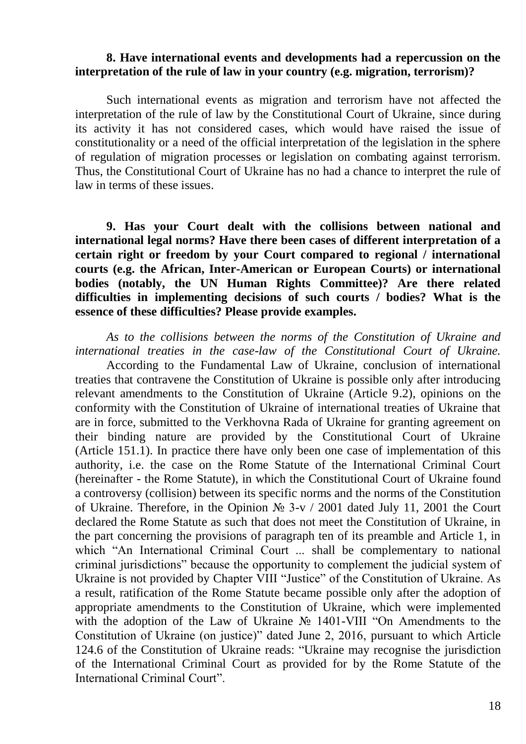#### **8. Have international events and developments had a repercussion on the interpretation of the rule of law in your country (e.g. migration, terrorism)?**

Such international events as migration and terrorism have not affected the interpretation of the rule of law by the Constitutional Court of Ukraine, since during its activity it has not considered cases, which would have raised the issue of constitutionality or a need of the official interpretation of the legislation in the sphere of regulation of migration processes or legislation on combating against terrorism. Thus, the Constitutional Court of Ukraine has no had a chance to interpret the rule of law in terms of these issues.

**9. Has your Court dealt with the collisions between national and international legal norms? Have there been cases of different interpretation of a certain right or freedom by your Court compared to regional / international courts (e.g. the African, Inter-American or European Courts) or international bodies (notably, the UN Human Rights Committee)? Are there related difficulties in implementing decisions of such courts / bodies? What is the essence of these difficulties? Please provide examples.** 

*As to the collisions between the norms of the Constitution of Ukraine and international treaties in the case-law of the Constitutional Court of Ukraine.*

According to the Fundamental Law of Ukraine, conclusion of international treaties that contravene the Constitution of Ukraine is possible only after introducing relevant amendments to the Constitution of Ukraine (Article 9.2), opinions on the conformity with the Constitution of Ukraine of international treaties of Ukraine that are in force, submitted to the Verkhovna Rada of Ukraine for granting agreement on their binding nature are provided by the Constitutional Court of Ukraine (Article 151.1). In practice there have only been one case of implementation of this authority, i.e. the case on the Rome Statute of the International Criminal Court (hereinafter - the Rome Statute), in which the Constitutional Court of Ukraine found a controversy (collision) between its specific norms and the norms of the Constitution of Ukraine. Therefore, in the Opinion  $\mathcal{N}_2$  3-v / 2001 dated July 11, 2001 the Court declared the Rome Statute as such that does not meet the Constitution of Ukraine, in the part concerning the provisions of paragraph ten of its preamble and Article 1, in which "An International Criminal Court ... shall be complementary to national criminal jurisdictions" because the opportunity to complement the judicial system of Ukraine is not provided by Chapter VIII "Justice" of the Constitution of Ukraine. As a result, ratification of the Rome Statute became possible only after the adoption of appropriate amendments to the Constitution of Ukraine, which were implemented with the adoption of the Law of Ukraine № 1401-VIII "On Amendments to the Constitution of Ukraine (on justice)" dated June 2, 2016, pursuant to which Article 124.6 of the Constitution of Ukraine reads: "Ukraine may recognise the jurisdiction of the International Criminal Court as provided for by the Rome Statute of the International Criminal Court".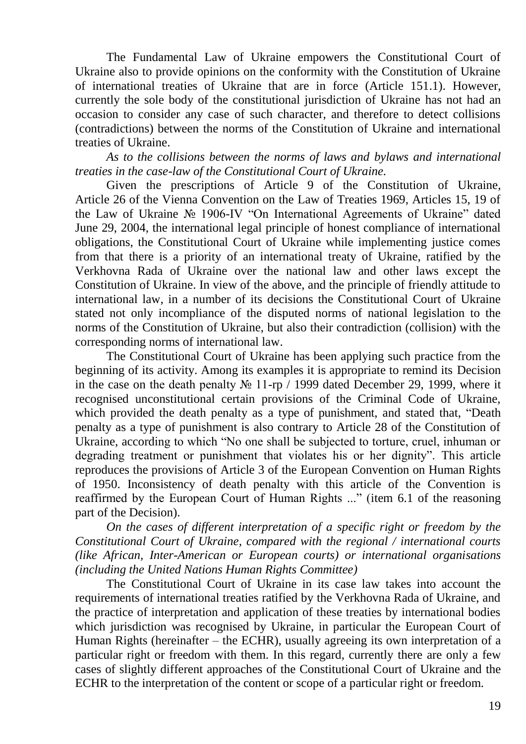The Fundamental Law of Ukraine empowers the Constitutional Court of Ukraine also to provide opinions on the conformity with the Constitution of Ukraine of international treaties of Ukraine that are in force (Article 151.1). However, currently the sole body of the constitutional jurisdiction of Ukraine has not had an occasion to consider any case of such character, and therefore to detect collisions (contradictions) between the norms of the Constitution of Ukraine and international treaties of Ukraine.

*As to the collisions between the norms of laws and bylaws and international treaties in the case-law of the Constitutional Court of Ukraine.*

Given the prescriptions of Article 9 of the Constitution of Ukraine, Article 26 of the Vienna Convention on the Law of Treaties 1969, Articles 15, 19 of the Law of Ukraine № 1906-IV "On International Agreements of Ukraine" dated June 29, 2004, the international legal principle of honest compliance of international obligations, the Constitutional Court of Ukraine while implementing justice comes from that there is a priority of an international treaty of Ukraine, ratified by the Verkhovna Rada of Ukraine over the national law and other laws except the Constitution of Ukraine. In view of the above, and the principle of friendly attitude to international law, in a number of its decisions the Constitutional Court of Ukraine stated not only incompliance of the disputed norms of national legislation to the norms of the Constitution of Ukraine, but also their contradiction (collision) with the corresponding norms of international law.

The Constitutional Court of Ukraine has been applying such practice from the beginning of its activity. Among its examples it is appropriate to remind its Decision in the case on the death penalty  $N_2$  11-rp / 1999 dated December 29, 1999, where it recognised unconstitutional certain provisions of the Criminal Code of Ukraine, which provided the death penalty as a type of punishment, and stated that, "Death penalty as a type of punishment is also contrary to Article 28 of the Constitution of Ukraine, according to which "No one shall be subjected to torture, cruel, inhuman or degrading treatment or punishment that violates his or her dignity". This article reproduces the provisions of Article 3 of the European Convention on Human Rights of 1950. Inconsistency of death penalty with this article of the Convention is reaffirmed by the European Court of Human Rights ..." (item 6.1 of the reasoning part of the Decision).

*On the cases of different interpretation of a specific right or freedom by the Constitutional Court of Ukraine, compared with the regional / international courts (like African, Inter-American or European courts) or international organisations (including the United Nations Human Rights Committee)*

The Constitutional Court of Ukraine in its case law takes into account the requirements of international treaties ratified by the Verkhovna Rada of Ukraine, and the practice of interpretation and application of these treaties by international bodies which jurisdiction was recognised by Ukraine, in particular the European Court of Human Rights (hereinafter – the ECHR), usually agreeing its own interpretation of a particular right or freedom with them. In this regard, currently there are only a few cases of slightly different approaches of the Constitutional Court of Ukraine and the ECHR to the interpretation of the content or scope of a particular right or freedom.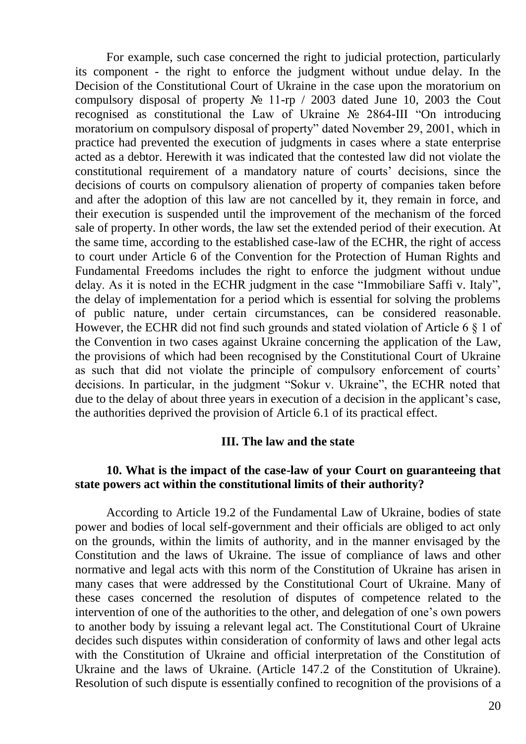For example, such case concerned the right to judicial protection, particularly its component - the right to enforce the judgment without undue delay. In the Decision of the Constitutional Court of Ukraine in the case upon the moratorium on compulsory disposal of property № 11-rp / 2003 dated June 10, 2003 the Cout recognised as constitutional the Law of Ukraine № 2864-III "On introducing moratorium on compulsory disposal of property" dated November 29, 2001, which in practice had prevented the execution of judgments in cases where a state enterprise acted as a debtor. Herewith it was indicated that the contested law did not violate the constitutional requirement of a mandatory nature of courts' decisions, since the decisions of courts on compulsory alienation of property of companies taken before and after the adoption of this law are not cancelled by it, they remain in force, and their execution is suspended until the improvement of the mechanism of the forced sale of property. In other words, the law set the extended period of their execution. At the same time, according to the established case-law of the ECHR, the right of access to court under Article 6 of the Convention for the Protection of Human Rights and Fundamental Freedoms includes the right to enforce the judgment without undue delay. As it is noted in the ECHR judgment in the case "Immobiliare Saffi v. Italy", the delay of implementation for a period which is essential for solving the problems of public nature, under certain circumstances, can be considered reasonable. However, the ECHR did not find such grounds and stated violation of Article 6  $\S$  1 of the Convention in two cases against Ukraine concerning the application of the Law, the provisions of which had been recognised by the Constitutional Court of Ukraine as such that did not violate the principle of compulsory enforcement of courts' decisions. In particular, in the judgment "Sokur v. Ukraine", the ECHR noted that due to the delay of about three years in execution of a decision in the applicant's case, the authorities deprived the provision of Article 6.1 of its practical effect.

#### **III. The law and the state**

### **10. What is the impact of the case-law of your Court on guaranteeing that state powers act within the constitutional limits of their authority?**

According to Article 19.2 of the Fundamental Law of Ukraine, bodies of state power and bodies of local self-government and their officials are obliged to act only on the grounds, within the limits of authority, and in the manner envisaged by the Constitution and the laws of Ukraine. The issue of compliance of laws and other normative and legal acts with this norm of the Constitution of Ukraine has arisen in many cases that were addressed by the Constitutional Court of Ukraine. Many of these cases concerned the resolution of disputes of competence related to the intervention of one of the authorities to the other, and delegation of one's own powers to another body by issuing a relevant legal act. The Constitutional Court of Ukraine decides such disputes within consideration of conformity of laws and other legal acts with the Constitution of Ukraine and official interpretation of the Constitution of Ukraine and the laws of Ukraine. (Article 147.2 of the Constitution of Ukraine). Resolution of such dispute is essentially confined to recognition of the provisions of a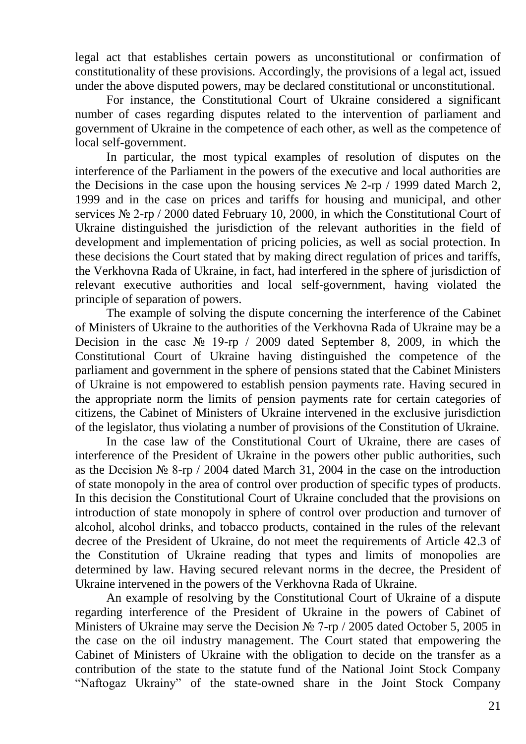legal act that establishes certain powers as unconstitutional or confirmation of constitutionality of these provisions. Accordingly, the provisions of a legal act, issued under the above disputed powers, may be declared constitutional or unconstitutional.

For instance, the Constitutional Court of Ukraine considered a significant number of cases regarding disputes related to the intervention of parliament and government of Ukraine in the competence of each other, as well as the competence of local self-government.

In particular, the most typical examples of resolution of disputes on the interference of the Parliament in the powers of the executive and local authorities are the Decisions in the case upon the housing services  $N_2$  2-rp / 1999 dated March 2, 1999 and in the case on prices and tariffs for housing and municipal, and other services No 2-rp / 2000 dated February 10, 2000, in which the Constitutional Court of Ukraine distinguished the jurisdiction of the relevant authorities in the field of development and implementation of pricing policies, as well as social protection. In these decisions the Court stated that by making direct regulation of prices and tariffs, the Verkhovna Rada of Ukraine, in fact, had interfered in the sphere of jurisdiction of relevant executive authorities and local self-government, having violated the principle of separation of powers.

The example of solving the dispute concerning the interference of the Cabinet of Ministers of Ukraine to the authorities of the Verkhovna Rada of Ukraine may be a Decision in the case № 19-rp / 2009 dated September 8, 2009, in which the Constitutional Court of Ukraine having distinguished the competence of the parliament and government in the sphere of pensions stated that the Cabinet Ministers of Ukraine is not empowered to establish pension payments rate. Having secured in the appropriate norm the limits of pension payments rate for certain categories of citizens, the Cabinet of Ministers of Ukraine intervened in the exclusive jurisdiction of the legislator, thus violating a number of provisions of the Constitution of Ukraine.

In the case law of the Constitutional Court of Ukraine, there are cases of interference of the President of Ukraine in the powers other public authorities, such as the Decision № 8-rp / 2004 dated March 31, 2004 in the case on the introduction of state monopoly in the area of control over production of specific types of products. In this decision the Constitutional Court of Ukraine concluded that the provisions on introduction of state monopoly in sphere of control over production and turnover of alcohol, alcohol drinks, and tobacco products, contained in the rules of the relevant decree of the President of Ukraine, do not meet the requirements of Article 42.3 of the Constitution of Ukraine reading that types and limits of monopolies are determined by law. Having secured relevant norms in the decree, the President of Ukraine intervened in the powers of the Verkhovna Rada of Ukraine.

An example of resolving by the Constitutional Court of Ukraine of a dispute regarding interference of the President of Ukraine in the powers of Cabinet of Ministers of Ukraine may serve the Decision № 7-rp / 2005 dated October 5, 2005 in the case on the oil industry management. The Court stated that empowering the Cabinet of Ministers of Ukraine with the obligation to decide on the transfer as a contribution of the state to the statute fund of the National Joint Stock Company "Naftogaz Ukrainy" of the state-owned share in the Joint Stock Company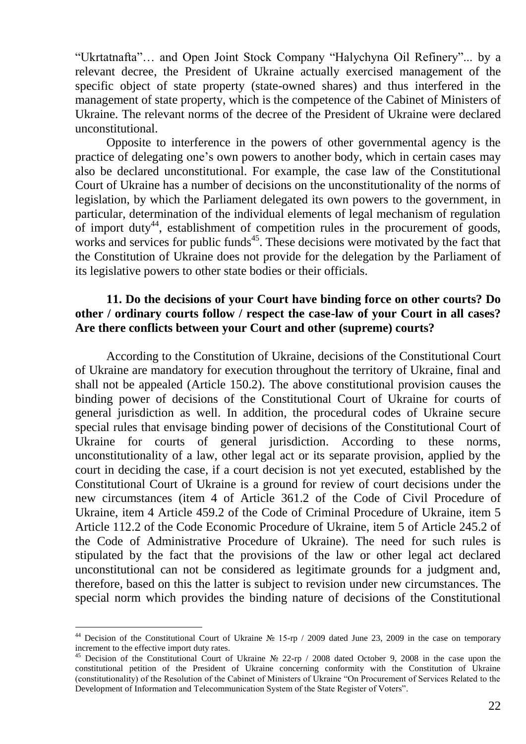"Ukrtatnafta"… and Open Joint Stock Company "Halychyna Oil Refinery"... by a relevant decree, the President of Ukraine actually exercised management of the specific object of state property (state-owned shares) and thus interfered in the management of state property, which is the competence of the Cabinet of Ministers of Ukraine. The relevant norms of the decree of the President of Ukraine were declared unconstitutional.

Opposite to interference in the powers of other governmental agency is the practice of delegating one's own powers to another body, which in certain cases may also be declared unconstitutional. For example, the case law of the Constitutional Court of Ukraine has a number of decisions on the unconstitutionality of the norms of legislation, by which the Parliament delegated its own powers to the government, in particular, determination of the individual elements of legal mechanism of regulation of import duty<sup>44</sup>, establishment of competition rules in the procurement of goods, works and services for public funds<sup> $45$ </sup>. These decisions were motivated by the fact that the Constitution of Ukraine does not provide for the delegation by the Parliament of its legislative powers to other state bodies or their officials.

### **11. Do the decisions of your Court have binding force on other courts? Do other / ordinary courts follow / respect the case-law of your Court in all cases? Are there conflicts between your Court and other (supreme) courts?**

According to the Constitution of Ukraine, decisions of the Constitutional Court of Ukraine are mandatory for execution throughout the territory of Ukraine, final and shall not be appealed (Article 150.2). The above constitutional provision causes the binding power of decisions of the Constitutional Court of Ukraine for courts of general jurisdiction as well. In addition, the procedural codes of Ukraine secure special rules that envisage binding power of decisions of the Constitutional Court of Ukraine for courts of general jurisdiction. According to these norms, unconstitutionality of a law, other legal act or its separate provision, applied by the court in deciding the case, if a court decision is not yet executed, established by the Constitutional Court of Ukraine is a ground for review of court decisions under the new circumstances (item 4 of Article 361.2 of the Code of Civil Procedure of Ukraine, item 4 Article 459.2 of the Code of Criminal Procedure of Ukraine, item 5 Article 112.2 of the Code Economic Procedure of Ukraine, item 5 of Article 245.2 of the Code of Administrative Procedure of Ukraine). The need for such rules is stipulated by the fact that the provisions of the law or other legal act declared unconstitutional can not be considered as legitimate grounds for a judgment and, therefore, based on this the latter is subject to revision under new circumstances. The special norm which provides the binding nature of decisions of the Constitutional

<sup>&</sup>lt;sup>44</sup> Decision of the Constitutional Court of Ukraine № 15-rp / 2009 dated June 23, 2009 in the case on temporary increment to the effective import duty rates.

<sup>45</sup> Decision of the Constitutional Court of Ukraine № 22-rp / 2008 dated October 9, 2008 in the case upon the constitutional petition of the President of Ukraine concerning conformity with the Constitution of Ukraine (constitutionality) of the Resolution of the Cabinet of Ministers of Ukraine "On Procurement of Services Related to the Development of Information and Telecommunication System of the State Register of Voters".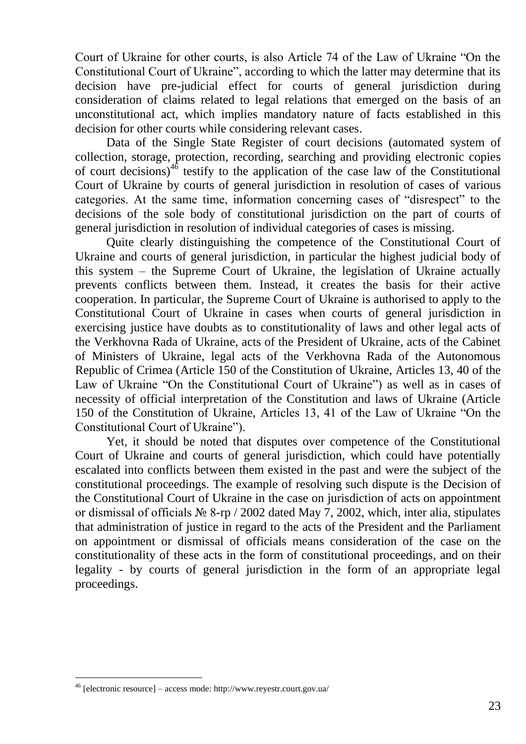Court of Ukraine for other courts, is also Article 74 of the Law of Ukraine "On the Constitutional Court of Ukraine", according to which the latter may determine that its decision have pre-judicial effect for courts of general jurisdiction during consideration of claims related to legal relations that emerged on the basis of an unconstitutional act, which implies mandatory nature of facts established in this decision for other courts while considering relevant cases.

Data of the Single State Register of court decisions (automated system of collection, storage, protection, recording, searching and providing electronic copies of court decisions)<sup>46</sup> testify to the application of the case law of the Constitutional Court of Ukraine by courts of general jurisdiction in resolution of cases of various categories. At the same time, information concerning cases of "disrespect" to the decisions of the sole body of constitutional jurisdiction on the part of courts of general jurisdiction in resolution of individual categories of cases is missing.

Quite clearly distinguishing the competence of the Constitutional Court of Ukraine and courts of general jurisdiction, in particular the highest judicial body of this system – the Supreme Court of Ukraine, the legislation of Ukraine actually prevents conflicts between them. Instead, it creates the basis for their active cooperation. In particular, the Supreme Court of Ukraine is authorised to apply to the Constitutional Court of Ukraine in cases when courts of general jurisdiction in exercising justice have doubts as to constitutionality of laws and other legal acts of the Verkhovna Rada of Ukraine, acts of the President of Ukraine, acts of the Cabinet of Ministers of Ukraine, legal acts of the Verkhovna Rada of the Autonomous Republic of Crimea (Article 150 of the Constitution of Ukraine, Articles 13, 40 of the Law of Ukraine "On the Constitutional Court of Ukraine") as well as in cases of necessity of official interpretation of the Constitution and laws of Ukraine (Article 150 of the Constitution of Ukraine, Articles 13, 41 of the Law of Ukraine "On the Constitutional Court of Ukraine").

Yet, it should be noted that disputes over competence of the Constitutional Court of Ukraine and courts of general jurisdiction, which could have potentially escalated into conflicts between them existed in the past and were the subject of the constitutional proceedings. The example of resolving such dispute is the Decision of the Constitutional Court of Ukraine in the case on jurisdiction of acts on appointment or dismissal of officials № 8-rp / 2002 dated May 7, 2002, which, inter alia, stipulates that administration of justice in regard to the acts of the President and the Parliament on appointment or dismissal of officials means consideration of the case on the constitutionality of these acts in the form of constitutional proceedings, and on their legality - by courts of general jurisdiction in the form of an appropriate legal proceedings.

<sup>46</sup> [electronic resource] – access mode: http://www.reyestr.court.gov.ua/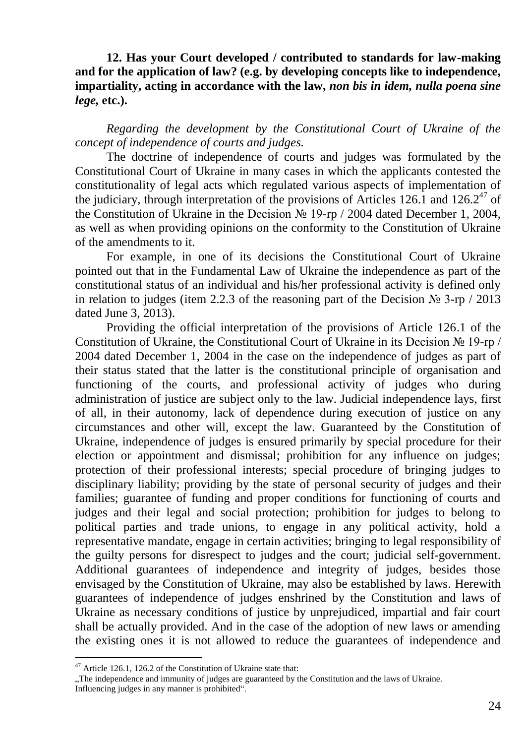**12. Has your Court developed / contributed to standards for law-making and for the application of law? (e.g. by developing concepts like to independence, impartiality, acting in accordance with the law,** *non bis in idem, nulla poena sine lege,* **etc.).** 

*Regarding the development by the Constitutional Court of Ukraine of the concept of independence of courts and judges.*

The doctrine of independence of courts and judges was formulated by the Constitutional Court of Ukraine in many cases in which the applicants contested the constitutionality of legal acts which regulated various aspects of implementation of the judiciary, through interpretation of the provisions of Articles 126.1 and 126.2<sup>47</sup> of the Constitution of Ukraine in the Decision № 19-rp / 2004 dated December 1, 2004, as well as when providing opinions on the conformity to the Constitution of Ukraine of the amendments to it.

For example, in one of its decisions the Constitutional Court of Ukraine pointed out that in the Fundamental Law of Ukraine the independence as part of the constitutional status of an individual and his/her professional activity is defined only in relation to judges (item 2.2.3 of the reasoning part of the Decision  $\mathcal{N}_2$  3-rp / 2013 dated June 3, 2013).

Providing the official interpretation of the provisions of Article 126.1 of the Constitution of Ukraine, the Constitutional Court of Ukraine in its Decision № 19-rp / 2004 dated December 1, 2004 in the case on the independence of judges as part of their status stated that the latter is the constitutional principle of organisation and functioning of the courts, and professional activity of judges who during administration of justice are subject only to the law. Judicial independence lays, first of all, in their autonomy, lack of dependence during execution of justice on any circumstances and other will, except the law. Guaranteed by the Constitution of Ukraine, independence of judges is ensured primarily by special procedure for their election or appointment and dismissal; prohibition for any influence on judges; protection of their professional interests; special procedure of bringing judges to disciplinary liability; providing by the state of personal security of judges and their families; guarantee of funding and proper conditions for functioning of courts and judges and their legal and social protection; prohibition for judges to belong to political parties and trade unions, to engage in any political activity, hold a representative mandate, engage in certain activities; bringing to legal responsibility of the guilty persons for disrespect to judges and the court; judicial self-government. Additional guarantees of independence and integrity of judges, besides those envisaged by the Constitution of Ukraine, may also be established by laws. Herewith guarantees of independence of judges enshrined by the Constitution and laws of Ukraine as necessary conditions of justice by unprejudiced, impartial and fair court shall be actually provided. And in the case of the adoption of new laws or amending the existing ones it is not allowed to reduce the guarantees of independence and

<sup>&</sup>lt;sup>47</sup> Article 126.1, 126.2 of the Constitution of Ukraine state that:

<sup>&</sup>quot;The independence and immunity of judges are guaranteed by the Constitution and the laws of Ukraine. Influencing judges in any manner is prohibited".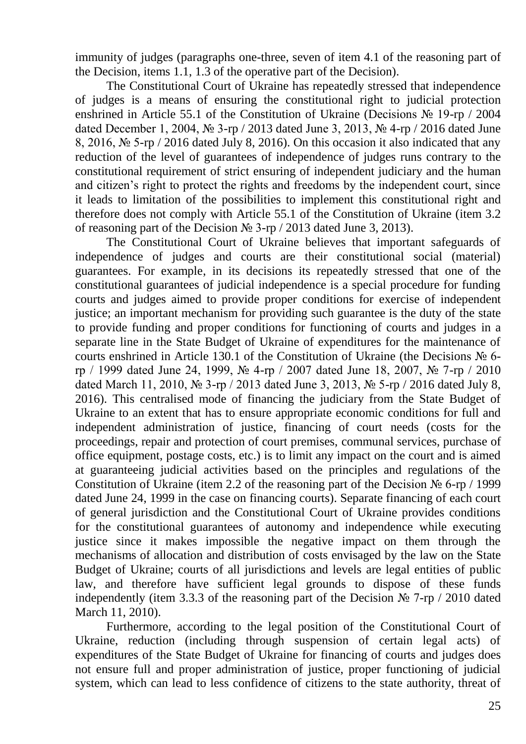immunity of judges (paragraphs one-three, seven of item 4.1 of the reasoning part of the Decision, items 1.1, 1.3 of the operative part of the Decision).

The Constitutional Court of Ukraine has repeatedly stressed that independence of judges is a means of ensuring the constitutional right to judicial protection enshrined in Article 55.1 of the Constitution of Ukraine (Decisions № 19-rp / 2004 dated December 1, 2004, № 3-rp / 2013 dated June 3, 2013, № 4-rp / 2016 dated June 8, 2016, № 5-rp / 2016 dated July 8, 2016). On this occasion it also indicated that any reduction of the level of guarantees of independence of judges runs contrary to the constitutional requirement of strict ensuring of independent judiciary and the human and citizen's right to protect the rights and freedoms by the independent court, since it leads to limitation of the possibilities to implement this constitutional right and therefore does not comply with Article 55.1 of the Constitution of Ukraine (item 3.2 of reasoning part of the Decision № 3-rp / 2013 dated June 3, 2013).

The Constitutional Court of Ukraine believes that important safeguards of independence of judges and courts are their constitutional social (material) guarantees. For example, in its decisions its repeatedly stressed that one of the constitutional guarantees of judicial independence is a special procedure for funding courts and judges aimed to provide proper conditions for exercise of independent justice; an important mechanism for providing such guarantee is the duty of the state to provide funding and proper conditions for functioning of courts and judges in a separate line in the State Budget of Ukraine of expenditures for the maintenance of courts enshrined in Article 130.1 of the Constitution of Ukraine (the Decisions № 6 rp / 1999 dated June 24, 1999, № 4-rp / 2007 dated June 18, 2007, № 7-rp / 2010 dated March 11, 2010, № 3-rp / 2013 dated June 3, 2013, № 5-rp / 2016 dated July 8, 2016). This centralised mode of financing the judiciary from the State Budget of Ukraine to an extent that has to ensure appropriate economic conditions for full and independent administration of justice, financing of court needs (costs for the proceedings, repair and protection of court premises, communal services, purchase of office equipment, postage costs, etc.) is to limit any impact on the court and is aimed at guaranteeing judicial activities based on the principles and regulations of the Constitution of Ukraine (item 2.2 of the reasoning part of the Decision  $\mathcal{N}_2$  6-rp / 1999 dated June 24, 1999 in the case on financing courts). Separate financing of each court of general jurisdiction and the Constitutional Court of Ukraine provides conditions for the constitutional guarantees of autonomy and independence while executing justice since it makes impossible the negative impact on them through the mechanisms of allocation and distribution of costs envisaged by the law on the State Budget of Ukraine; courts of all jurisdictions and levels are legal entities of public law, and therefore have sufficient legal grounds to dispose of these funds independently (item 3.3.3 of the reasoning part of the Decision № 7-rp / 2010 dated March 11, 2010).

Furthermore, according to the legal position of the Constitutional Court of Ukraine, reduction (including through suspension of certain legal acts) of expenditures of the State Budget of Ukraine for financing of courts and judges does not ensure full and proper administration of justice, proper functioning of judicial system, which can lead to less confidence of citizens to the state authority, threat of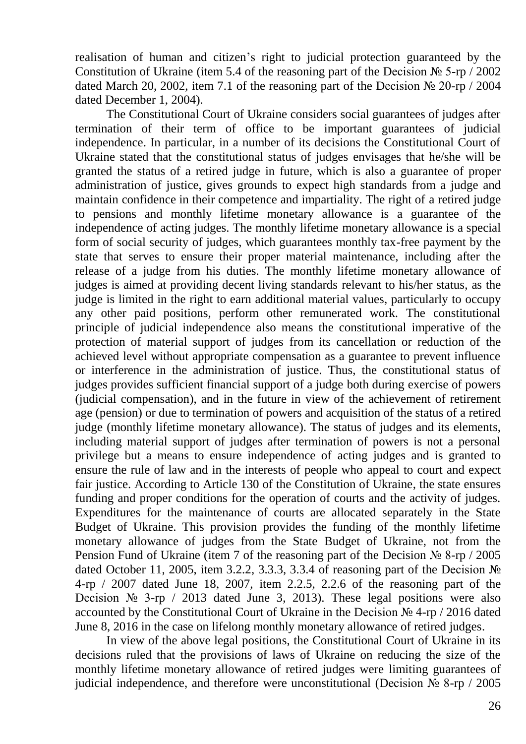realisation of human and citizen's right to judicial protection guaranteed by the Constitution of Ukraine (item 5.4 of the reasoning part of the Decision  $\mathcal{N}_2$  5-rp / 2002 dated March 20, 2002, item 7.1 of the reasoning part of the Decision  $\mathcal{N}_2$  20-rp / 2004 dated December 1, 2004).

The Constitutional Court of Ukraine considers social guarantees of judges after termination of their term of office to be important guarantees of judicial independence. In particular, in a number of its decisions the Constitutional Court of Ukraine stated that the constitutional status of judges envisages that he/she will be granted the status of a retired judge in future, which is also a guarantee of proper administration of justice, gives grounds to expect high standards from a judge and maintain confidence in their competence and impartiality. The right of a retired judge to pensions and monthly lifetime monetary allowance is a guarantee of the independence of acting judges. The monthly lifetime monetary allowance is a special form of social security of judges, which guarantees monthly tax-free payment by the state that serves to ensure their proper material maintenance, including after the release of a judge from his duties. The monthly lifetime monetary allowance of judges is aimed at providing decent living standards relevant to his/her status, as the judge is limited in the right to earn additional material values, particularly to occupy any other paid positions, perform other remunerated work. The constitutional principle of judicial independence also means the constitutional imperative of the protection of material support of judges from its cancellation or reduction of the achieved level without appropriate compensation as a guarantee to prevent influence or interference in the administration of justice. Thus, the constitutional status of judges provides sufficient financial support of a judge both during exercise of powers (judicial compensation), and in the future in view of the achievement of retirement age (pension) or due to termination of powers and acquisition of the status of a retired judge (monthly lifetime monetary allowance). The status of judges and its elements, including material support of judges after termination of powers is not a personal privilege but a means to ensure independence of acting judges and is granted to ensure the rule of law and in the interests of people who appeal to court and expect fair justice. According to Article 130 of the Constitution of Ukraine, the state ensures funding and proper conditions for the operation of courts and the activity of judges. Expenditures for the maintenance of courts are allocated separately in the State Budget of Ukraine. This provision provides the funding of the monthly lifetime monetary allowance of judges from the State Budget of Ukraine, not from the Pension Fund of Ukraine (item 7 of the reasoning part of the Decision № 8-rp / 2005 dated October 11, 2005, item 3.2.2, 3.3.3, 3.3.4 of reasoning part of the Decision № 4-rp / 2007 dated June 18, 2007, item 2.2.5, 2.2.6 of the reasoning part of the Decision  $\mathcal{N}_2$  3-rp / 2013 dated June 3, 2013). These legal positions were also accounted by the Constitutional Court of Ukraine in the Decision № 4-rp / 2016 dated June 8, 2016 in the case on lifelong monthly monetary allowance of retired judges.

In view of the above legal positions, the Constitutional Court of Ukraine in its decisions ruled that the provisions of laws of Ukraine on reducing the size of the monthly lifetime monetary allowance of retired judges were limiting guarantees of judicial independence, and therefore were unconstitutional (Decision № 8-rp / 2005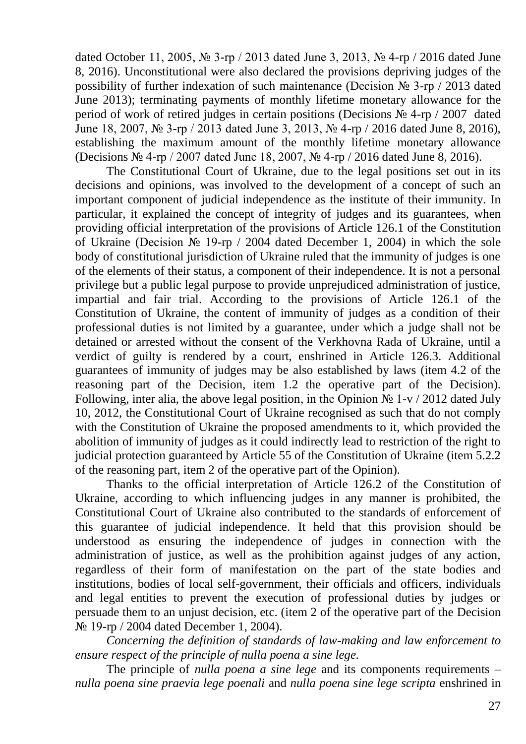dated October 11, 2005, № 3-rp / 2013 dated June 3, 2013, № 4-rp / 2016 dated June 8, 2016). Unconstitutional were also declared the provisions depriving judges of the possibility of further indexation of such maintenance (Decision № 3-rp / 2013 dated June 2013); terminating payments of monthly lifetime monetary allowance for the period of work of retired judges in certain positions (Decisions № 4-rp / 2007 dated June 18, 2007, № 3-rp / 2013 dated June 3, 2013, № 4-rp / 2016 dated June 8, 2016), establishing the maximum amount of the monthly lifetime monetary allowance (Decisions № 4-rp / 2007 dated June 18, 2007, № 4-rp / 2016 dated June 8, 2016).

The Constitutional Court of Ukraine, due to the legal positions set out in its decisions and opinions, was involved to the development of a concept of such an important component of judicial independence as the institute of their immunity. In particular, it explained the concept of integrity of judges and its guarantees, when providing official interpretation of the provisions of Article 126.1 of the Constitution of Ukraine (Decision № 19-rp / 2004 dated December 1, 2004) in which the sole body of constitutional jurisdiction of Ukraine ruled that the immunity of judges is one of the elements of their status, a component of their independence. It is not a personal privilege but a public legal purpose to provide unprejudiced administration of justice, impartial and fair trial. According to the provisions of Article 126.1 of the Constitution of Ukraine, the content of immunity of judges as a condition of their professional duties is not limited by a guarantee, under which a judge shall not be detained or arrested without the consent of the Verkhovna Rada of Ukraine, until a verdict of guilty is rendered by a court, enshrined in Article 126.3. Additional guarantees of immunity of judges may be also established by laws (item 4.2 of the reasoning part of the Decision, item 1.2 the operative part of the Decision). Following, inter alia, the above legal position, in the Opinion  $\mathbb{N}_{2}$  1-v / 2012 dated July 10, 2012, the Constitutional Court of Ukraine recognised as such that do not comply with the Constitution of Ukraine the proposed amendments to it, which provided the abolition of immunity of judges as it could indirectly lead to restriction of the right to judicial protection guaranteed by Article 55 of the Constitution of Ukraine (item 5.2.2 of the reasoning part, item 2 of the operative part of the Opinion).

Thanks to the official interpretation of Article 126.2 of the Constitution of Ukraine, according to which influencing judges in any manner is prohibited, the Constitutional Court of Ukraine also contributed to the standards of enforcement of this guarantee of judicial independence. It held that this provision should be understood as ensuring the independence of judges in connection with the administration of justice, as well as the prohibition against judges of any action, regardless of their form of manifestation on the part of the state bodies and institutions, bodies of local self-government, their officials and officers, individuals and legal entities to prevent the execution of professional duties by judges or persuade them to an unjust decision, etc. (item 2 of the operative part of the Decision № 19-rp / 2004 dated December 1, 2004).

*Concerning the definition of standards of law-making and law enforcement to ensure respect of the principle of nulla poena a sine lege.*

The principle of *nulla poena a sine lege* and its components requirements – *nulla poena sine praevia lege poenali* and *nulla poena sine lege scripta* enshrined in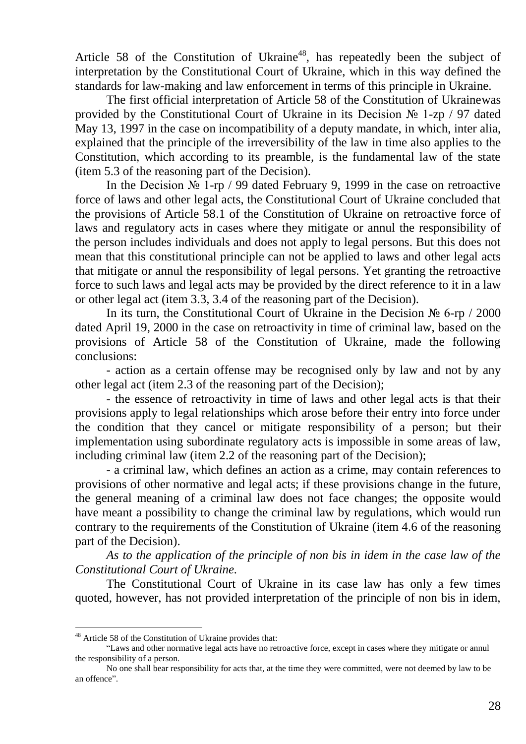Article 58 of the Constitution of Ukraine<sup>48</sup>, has repeatedly been the subject of interpretation by the Constitutional Court of Ukraine, which in this way defined the standards for law-making and law enforcement in terms of this principle in Ukraine.

The first official interpretation of Article 58 of the Constitution of Ukrainewas provided by the Constitutional Court of Ukraine in its Decision № 1-zp / 97 dated May 13, 1997 in the case on incompatibility of a deputy mandate, in which, inter alia, explained that the principle of the irreversibility of the law in time also applies to the Constitution, which according to its preamble, is the fundamental law of the state (item 5.3 of the reasoning part of the Decision).

In the Decision № 1-rp / 99 dated February 9, 1999 in the case on retroactive force of laws and other legal acts, the Constitutional Court of Ukraine concluded that the provisions of Article 58.1 of the Constitution of Ukraine on retroactive force of laws and regulatory acts in cases where they mitigate or annul the responsibility of the person includes individuals and does not apply to legal persons. But this does not mean that this constitutional principle can not be applied to laws and other legal acts that mitigate or annul the responsibility of legal persons. Yet granting the retroactive force to such laws and legal acts may be provided by the direct reference to it in a law or other legal act (item 3.3, 3.4 of the reasoning part of the Decision).

In its turn, the Constitutional Court of Ukraine in the Decision № 6-rp / 2000 dated April 19, 2000 in the case on retroactivity in time of criminal law, based on the provisions of Article 58 of the Constitution of Ukraine, made the following conclusions:

- action as a certain offense may be recognised only by law and not by any other legal act (item 2.3 of the reasoning part of the Decision);

- the essence of retroactivity in time of laws and other legal acts is that their provisions apply to legal relationships which arose before their entry into force under the condition that they cancel or mitigate responsibility of a person; but their implementation using subordinate regulatory acts is impossible in some areas of law, including criminal law (item 2.2 of the reasoning part of the Decision);

- a criminal law, which defines an action as a crime, may contain references to provisions of other normative and legal acts; if these provisions change in the future, the general meaning of a criminal law does not face changes; the opposite would have meant a possibility to change the criminal law by regulations, which would run contrary to the requirements of the Constitution of Ukraine (item 4.6 of the reasoning part of the Decision).

*As to the application of the principle of non bis in idem in the case law of the Constitutional Court of Ukraine.*

The Constitutional Court of Ukraine in its case law has only a few times quoted, however, has not provided interpretation of the principle of non bis in idem,

<sup>48</sup> Article 58 of the Constitution of Ukraine provides that:

<sup>&</sup>quot;Laws and other normative legal acts have no retroactive force, except in cases where they mitigate or annul the responsibility of a person.

No one shall bear responsibility for acts that, at the time they were committed, were not deemed by law to be an offence".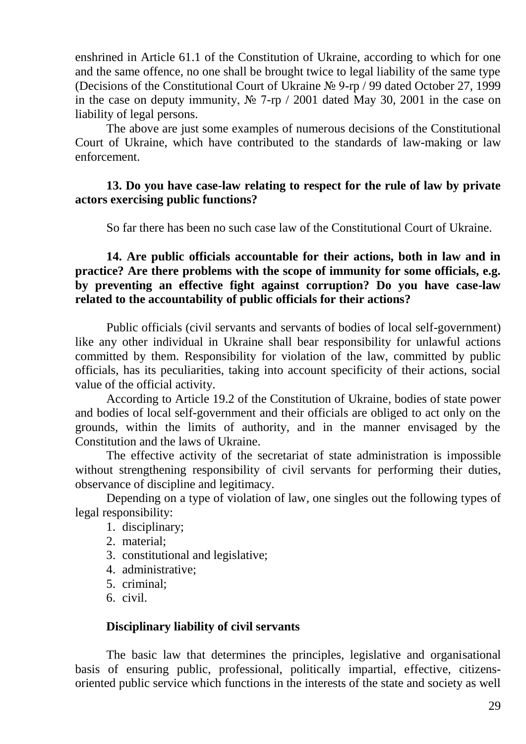enshrined in Article 61.1 of the Constitution of Ukraine, according to which for one and the same offence, no one shall be brought twice to legal liability of the same type (Decisions of the Constitutional Court of Ukraine № 9-rp / 99 dated October 27, 1999 in the case on deputy immunity, № 7-rp / 2001 dated May 30, 2001 in the case on liability of legal persons.

The above are just some examples of numerous decisions of the Constitutional Court of Ukraine, which have contributed to the standards of law-making or law enforcement.

### **13. Do you have case-law relating to respect for the rule of law by private actors exercising public functions?**

So far there has been no such case law of the Constitutional Court of Ukraine.

**14. Are public officials accountable for their actions, both in law and in practice? Are there problems with the scope of immunity for some officials, e.g. by preventing an effective fight against corruption? Do you have case-law related to the accountability of public officials for their actions?** 

Public officials (civil servants and servants of bodies of local self-government) like any other individual in Ukraine shall bear responsibility for unlawful actions committed by them. Responsibility for violation of the law, committed by public officials, has its peculiarities, taking into account specificity of their actions, social value of the official activity.

According to Article 19.2 of the Constitution of Ukraine, bodies of state power and bodies of local self-government and their officials are obliged to act only on the grounds, within the limits of authority, and in the manner envisaged by the Constitution and the laws of Ukraine.

The effective activity of the secretariat of state administration is impossible without strengthening responsibility of civil servants for performing their duties, observance of discipline and legitimacy.

Depending on a type of violation of law, one singles out the following types of legal responsibility:

- 1. disciplinary;
- 2. material;
- 3. constitutional and legislative;
- 4. administrative;
- 5. criminal;
- 6. civil.

#### **Disciplinary liability of civil servants**

The basic law that determines the principles, legislative and organisational basis of ensuring public, professional, politically impartial, effective, citizensoriented public service which functions in the interests of the state and society as well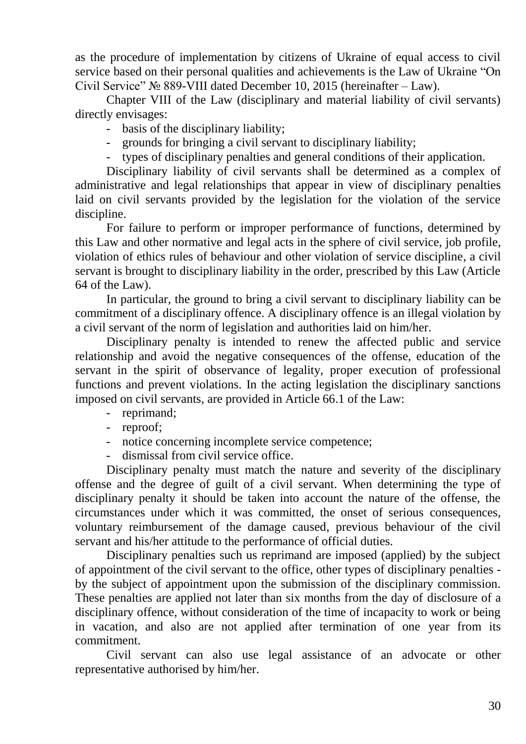as the procedure of implementation by citizens of Ukraine of equal access to civil service based on their personal qualities and achievements is the Law of Ukraine "On Civil Service" № 889-VIII dated December 10, 2015 (hereinafter – Law).

Chapter VIII of the Law (disciplinary and material liability of civil servants) directly envisages:

- basis of the disciplinary liability;
- grounds for bringing a civil servant to disciplinary liability;
- types of disciplinary penalties and general conditions of their application.

Disciplinary liability of civil servants shall be determined as a complex of administrative and legal relationships that appear in view of disciplinary penalties laid on civil servants provided by the legislation for the violation of the service discipline.

For failure to perform or improper performance of functions, determined by this Law and other normative and legal acts in the sphere of civil service, job profile, violation of ethics rules of behaviour and other violation of service discipline, a civil servant is brought to disciplinary liability in the order, prescribed by this Law (Article 64 of the Law).

In particular, the ground to bring a civil servant to disciplinary liability can be commitment of a disciplinary offence. A disciplinary offence is an illegal violation by a civil servant of the norm of legislation and authorities laid on him/her.

Disciplinary penalty is intended to renew the affected public and service relationship and avoid the negative consequences of the offense, education of the servant in the spirit of observance of legality, proper execution of professional functions and prevent violations. In the acting legislation the disciplinary sanctions imposed on civil servants, are provided in Article 66.1 of the Law:

- reprimand;
- reproof;
- notice concerning incomplete service competence;
- dismissal from civil service office.

Disciplinary penalty must match the nature and severity of the disciplinary offense and the degree of guilt of a civil servant. When determining the type of disciplinary penalty it should be taken into account the nature of the offense, the circumstances under which it was committed, the onset of serious consequences, voluntary reimbursement of the damage caused, previous behaviour of the civil servant and his/her attitude to the performance of official duties.

Disciplinary penalties such us reprimand are imposed (applied) by the subject of appointment of the civil servant to the office, other types of disciplinary penalties by the subject of appointment upon the submission of the disciplinary commission. These penalties are applied not later than six months from the day of disclosure of a disciplinary offence, without consideration of the time of incapacity to work or being in vacation, and also are not applied after termination of one year from its commitment.

Civil servant can also use legal assistance of an advocate or other representative authorised by him/her.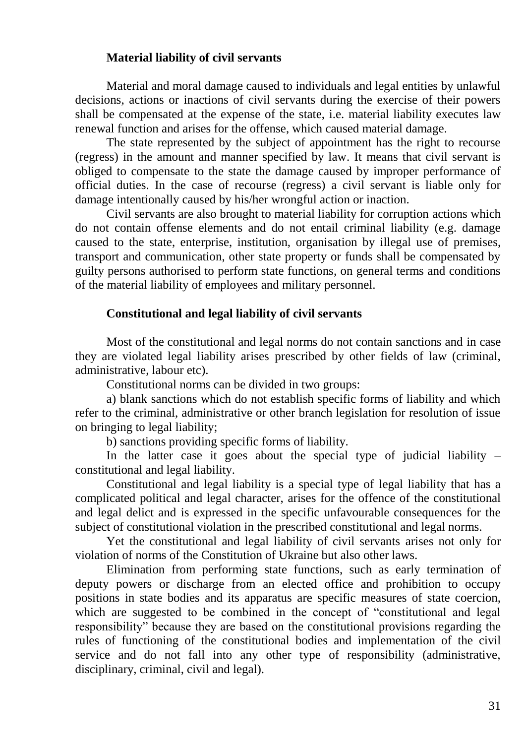## **Material liability of civil servants**

Material and moral damage caused to individuals and legal entities by unlawful decisions, actions or inactions of civil servants during the exercise of their powers shall be compensated at the expense of the state, i.e. material liability executes law renewal function and arises for the offense, which caused material damage.

The state represented by the subject of appointment has the right to recourse (regress) in the amount and manner specified by law. It means that civil servant is obliged to compensate to the state the damage caused by improper performance of official duties. In the case of recourse (regress) a civil servant is liable only for damage intentionally caused by his/her wrongful action or inaction.

Civil servants are also brought to material liability for corruption actions which do not contain offense elements and do not entail criminal liability (e.g. damage caused to the state, enterprise, institution, organisation by illegal use of premises, transport and communication, other state property or funds shall be compensated by guilty persons authorised to perform state functions, on general terms and conditions of the material liability of employees and military personnel.

#### **Constitutional and legal liability of civil servants**

Most of the constitutional and legal norms do not contain sanctions and in case they are violated legal liability arises prescribed by other fields of law (criminal, administrative, labour etc).

Constitutional norms can be divided in two groups:

a) blank sanctions which do not establish specific forms of liability and which refer to the criminal, administrative or other branch legislation for resolution of issue on bringing to legal liability;

b) sanctions providing specific forms of liability.

In the latter case it goes about the special type of judicial liability  $$ constitutional and legal liability.

Constitutional and legal liability is a special type of legal liability that has a complicated political and legal character, arises for the offence of the constitutional and legal delict and is expressed in the specific unfavourable consequences for the subject of constitutional violation in the prescribed constitutional and legal norms.

Yet the constitutional and legal liability of civil servants arises not only for violation of norms of the Constitution of Ukraine but also other laws.

Elimination from performing state functions, such as early termination of deputy powers or discharge from an elected office and prohibition to occupy positions in state bodies and its apparatus are specific measures of state coercion, which are suggested to be combined in the concept of "constitutional and legal" responsibility" because they are based on the constitutional provisions regarding the rules of functioning of the constitutional bodies and implementation of the civil service and do not fall into any other type of responsibility (administrative, disciplinary, criminal, civil and legal).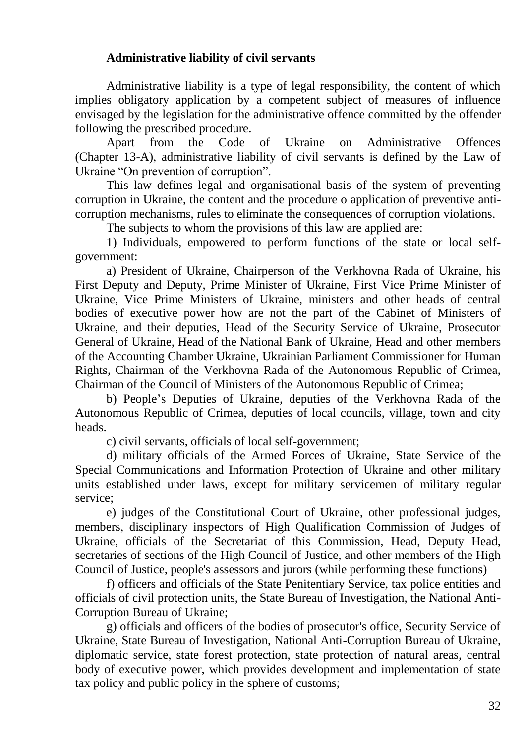# **Administrative liability of civil servants**

Administrative liability is a type of legal responsibility, the content of which implies obligatory application by a competent subject of measures of influence envisaged by the legislation for the administrative offence committed by the offender following the prescribed procedure.

Apart from the Code of Ukraine on Administrative Offences (Chapter 13-A), administrative liability of civil servants is defined by the Law of Ukraine "On prevention of corruption".

This law defines legal and organisational basis of the system of preventing corruption in Ukraine, the content and the procedure o application of preventive anticorruption mechanisms, rules to eliminate the consequences of corruption violations.

The subjects to whom the provisions of this law are applied are:

1) Individuals, empowered to perform functions of the state or local selfgovernment:

a) President of Ukraine, Chairperson of the Verkhovna Rada of Ukraine, his First Deputy and Deputy, Prime Minister of Ukraine, First Vice Prime Minister of Ukraine, Vice Prime Ministers of Ukraine, ministers and other heads of central bodies of executive power how are not the part of the Cabinet of Ministers of Ukraine, and their deputies, Head of the Security Service of Ukraine, Prosecutor General of Ukraine, Head of the National Bank of Ukraine, Head and other members of the Accounting Chamber Ukraine, Ukrainian Parliament Commissioner for Human Rights, Chairman of the Verkhovna Rada of the Autonomous Republic of Crimea, Chairman of the Council of Ministers of the Autonomous Republic of Crimea;

b) People's Deputies of Ukraine, deputies of the Verkhovna Rada of the Autonomous Republic of Crimea, deputies of local councils, village, town and city heads.

c) civil servants, officials of local self-government;

d) military officials of the Armed Forces of Ukraine, State Service of the Special Communications and Information Protection of Ukraine and other military units established under laws, except for military servicemen of military regular service;

e) judges of the Constitutional Court of Ukraine, other professional judges, members, disciplinary inspectors of High Qualification Commission of Judges of Ukraine, officials of the Secretariat of this Commission, Head, Deputy Head, secretaries of sections of the High Council of Justice, and other members of the High Council of Justice, people's assessors and jurors (while performing these functions)

f) officers and officials of the State Penitentiary Service, tax police entities and officials of civil protection units, the State Bureau of Investigation, the National Anti-Corruption Bureau of Ukraine;

g) officials and officers of the bodies of prosecutor's office, Security Service of Ukraine, State Bureau of Investigation, National Anti-Corruption Bureau of Ukraine, diplomatic service, state forest protection, state protection of natural areas, central body of executive power, which provides development and implementation of state tax policy and public policy in the sphere of customs;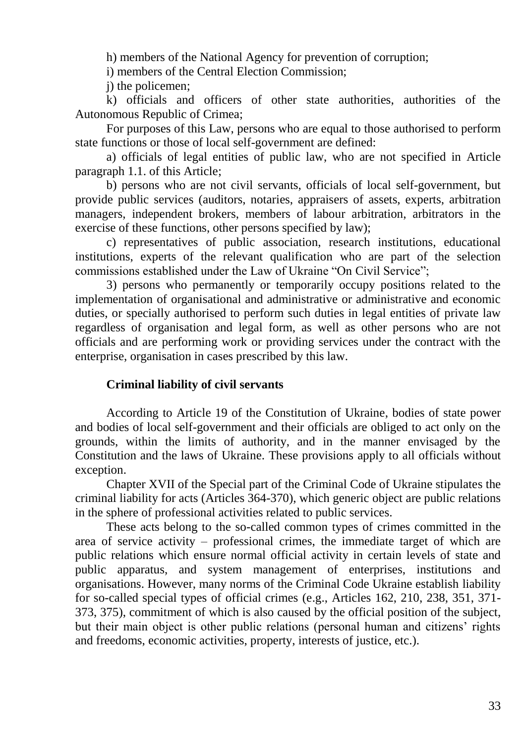h) members of the National Agency for prevention of corruption;

i) members of the Central Election Commission;

j) the policemen;

k) officials and officers of other state authorities, authorities of the Autonomous Republic of Crimea;

For purposes of this Law, persons who are equal to those authorised to perform state functions or those of local self-government are defined:

a) officials of legal entities of public law, who are not specified in Article paragraph 1.1. of this Article;

b) persons who are not civil servants, officials of local self-government, but provide public services (auditors, notaries, appraisers of assets, experts, arbitration managers, independent brokers, members of labour arbitration, arbitrators in the exercise of these functions, other persons specified by law);

c) representatives of public association, research institutions, educational institutions, experts of the relevant qualification who are part of the selection commissions established under the Law of Ukraine "On Civil Service";

3) persons who permanently or temporarily occupy positions related to the implementation of organisational and administrative or administrative and economic duties, or specially authorised to perform such duties in legal entities of private law regardless of organisation and legal form, as well as other persons who are not officials and are performing work or providing services under the contract with the enterprise, organisation in cases prescribed by this law.

## **Criminal liability of civil servants**

According to Article 19 of the Constitution of Ukraine, bodies of state power and bodies of local self-government and their officials are obliged to act only on the grounds, within the limits of authority, and in the manner envisaged by the Constitution and the laws of Ukraine. These provisions apply to all officials without exception.

Chapter XVII of the Special part of the Criminal Code of Ukraine stipulates the criminal liability for acts (Articles 364-370), which generic object are public relations in the sphere of professional activities related to public services.

These acts belong to the so-called common types of crimes committed in the area of service activity – professional crimes, the immediate target of which are public relations which ensure normal official activity in certain levels of state and public apparatus, and system management of enterprises, institutions and organisations. However, many norms of the Criminal Code Ukraine establish liability for so-called special types of official crimes (e.g., Articles 162, 210, 238, 351, 371- 373, 375), commitment of which is also caused by the official position of the subject, but their main object is other public relations (personal human and citizens' rights and freedoms, economic activities, property, interests of justice, etc.).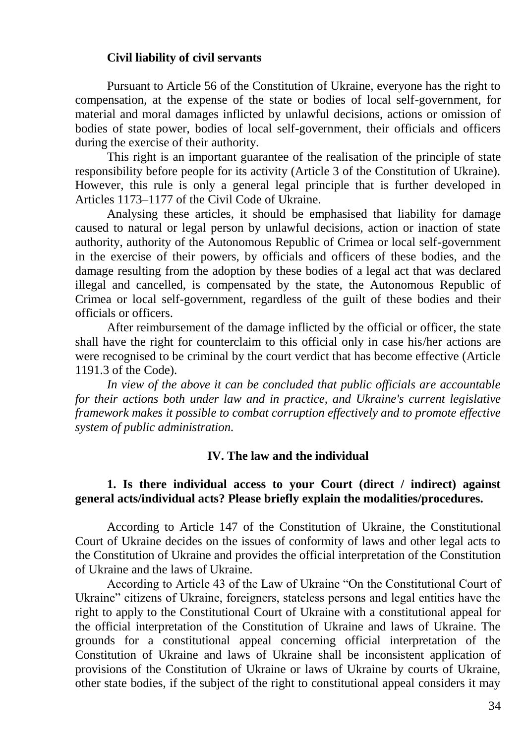#### **Civil liability of civil servants**

Pursuant to Article 56 of the Constitution of Ukraine, everyone has the right to compensation, at the expense of the state or bodies of local self-government, for material and moral damages inflicted by unlawful decisions, actions or omission of bodies of state power, bodies of local self-government, their officials and officers during the exercise of their authority.

This right is an important guarantee of the realisation of the principle of state responsibility before people for its activity (Article 3 of the Constitution of Ukraine). However, this rule is only a general legal principle that is further developed in Articles 1173–1177 of the Civil Code of Ukraine.

Analysing these articles, it should be emphasised that liability for damage caused to natural or legal person by unlawful decisions, action or inaction of state authority, authority of the Autonomous Republic of Crimea or local self-government in the exercise of their powers, by officials and officers of these bodies, and the damage resulting from the adoption by these bodies of a legal act that was declared illegal and cancelled, is compensated by the state, the Autonomous Republic of Crimea or local self-government, regardless of the guilt of these bodies and their officials or officers.

After reimbursement of the damage inflicted by the official or officer, the state shall have the right for counterclaim to this official only in case his/her actions are were recognised to be criminal by the court verdict that has become effective (Article 1191.3 of the Code).

*In view of the above it can be concluded that public officials are accountable for their actions both under law and in practice, and Ukraine's current legislative framework makes it possible to combat corruption effectively and to promote effective system of public administration.*

#### **IV. The law and the individual**

## **1. Is there individual access to your Court (direct / indirect) against general acts/individual acts? Please briefly explain the modalities/procedures.**

According to Article 147 of the Constitution of Ukraine, the Constitutional Court of Ukraine decides on the issues of conformity of laws and other legal acts to the Constitution of Ukraine and provides the official interpretation of the Constitution of Ukraine and the laws of Ukraine.

According to Article 43 of the Law of Ukraine "On the Constitutional Court of Ukraine" citizens of Ukraine, foreigners, stateless persons and legal entities have the right to apply to the Constitutional Court of Ukraine with a constitutional appeal for the official interpretation of the Constitution of Ukraine and laws of Ukraine. The grounds for a constitutional appeal concerning official interpretation of the Constitution of Ukraine and laws of Ukraine shall be inconsistent application of provisions of the Constitution of Ukraine or laws of Ukraine by courts of Ukraine, other state bodies, if the subject of the right to constitutional appeal considers it may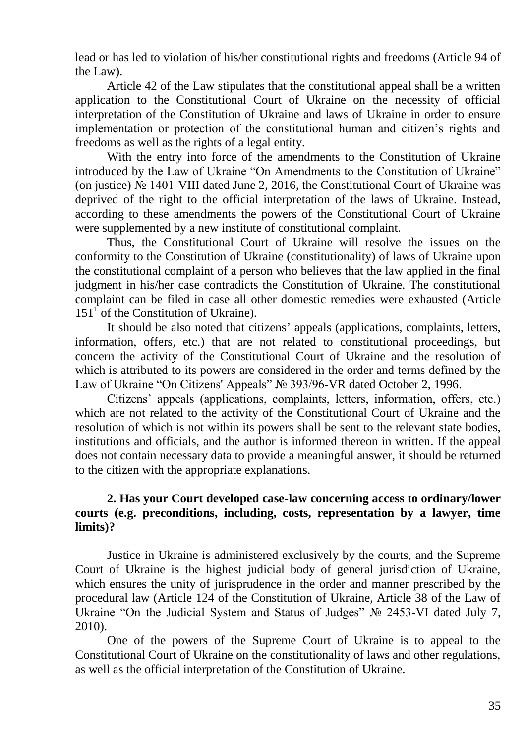lead or has led to violation of his/her constitutional rights and freedoms (Article 94 of the Law).

Article 42 of the Law stipulates that the constitutional appeal shall be a written application to the Constitutional Court of Ukraine on the necessity of official interpretation of the Constitution of Ukraine and laws of Ukraine in order to ensure implementation or protection of the constitutional human and citizen's rights and freedoms as well as the rights of a legal entity.

With the entry into force of the amendments to the Constitution of Ukraine introduced by the Law of Ukraine "On Amendments to the Constitution of Ukraine" (on justice) № 1401-VIII dated June 2, 2016, the Constitutional Court of Ukraine was deprived of the right to the official interpretation of the laws of Ukraine. Instead, according to these amendments the powers of the Constitutional Court of Ukraine were supplemented by a new institute of constitutional complaint.

Thus, the Constitutional Court of Ukraine will resolve the issues on the conformity to the Constitution of Ukraine (constitutionality) of laws of Ukraine upon the constitutional complaint of a person who believes that the law applied in the final judgment in his/her case contradicts the Constitution of Ukraine. The constitutional complaint can be filed in case all other domestic remedies were exhausted (Article  $151<sup>1</sup>$  of the Constitution of Ukraine).

It should be also noted that citizens' appeals (applications, complaints, letters, information, offers, etc.) that are not related to constitutional proceedings, but concern the activity of the Constitutional Court of Ukraine and the resolution of which is attributed to its powers are considered in the order and terms defined by the Law of Ukraine "On Citizens' Appeals" № 393/96-VR dated October 2, 1996.

Citizens' appeals (applications, complaints, letters, information, offers, etc.) which are not related to the activity of the Constitutional Court of Ukraine and the resolution of which is not within its powers shall be sent to the relevant state bodies, institutions and officials, and the author is informed thereon in written. If the appeal does not contain necessary data to provide a meaningful answer, it should be returned to the citizen with the appropriate explanations.

# **2. Has your Court developed case-law concerning access to ordinary/lower courts (e.g. preconditions, including, costs, representation by a lawyer, time limits)?**

Justice in Ukraine is administered exclusively by the courts, and the Supreme Court of Ukraine is the highest judicial body of general jurisdiction of Ukraine, which ensures the unity of jurisprudence in the order and manner prescribed by the procedural law (Article 124 of the Constitution of Ukraine, Article 38 of the Law of Ukraine "On the Judicial System and Status of Judges" № 2453-VI dated July 7, 2010).

One of the powers of the Supreme Court of Ukraine is to appeal to the Constitutional Court of Ukraine on the constitutionality of laws and other regulations, as well as the official interpretation of the Constitution of Ukraine.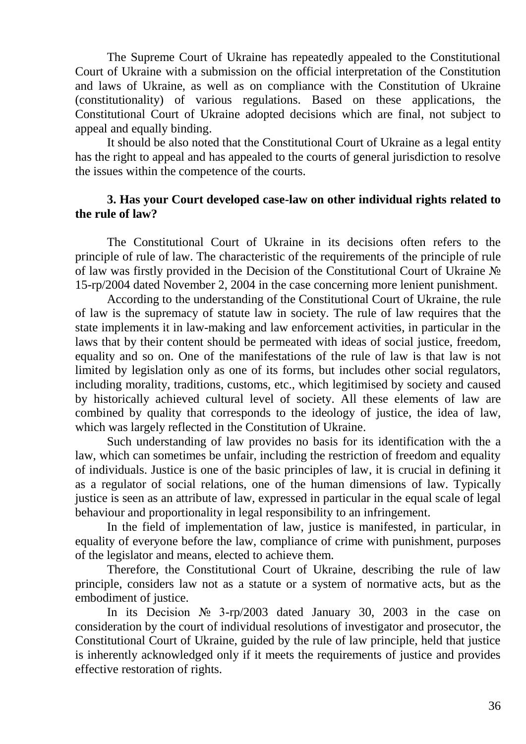The Supreme Court of Ukraine has repeatedly appealed to the Constitutional Court of Ukraine with a submission on the official interpretation of the Constitution and laws of Ukraine, as well as on compliance with the Constitution of Ukraine (constitutionality) of various regulations. Based on these applications, the Constitutional Court of Ukraine adopted decisions which are final, not subject to appeal and equally binding.

It should be also noted that the Constitutional Court of Ukraine as a legal entity has the right to appeal and has appealed to the courts of general jurisdiction to resolve the issues within the competence of the courts.

### **3. Has your Court developed case-law on other individual rights related to the rule of law?**

The Constitutional Court of Ukraine in its decisions often refers to the principle of rule of law. The characteristic of the requirements of the principle of rule of law was firstly provided in the Decision of the Constitutional Court of Ukraine № 15-rp/2004 dated November 2, 2004 in the case concerning more lenient punishment.

According to the understanding of the Constitutional Court of Ukraine, the rule of law is the supremacy of statute law in society. The rule of law requires that the state implements it in law-making and law enforcement activities, in particular in the laws that by their content should be permeated with ideas of social justice, freedom, equality and so on. One of the manifestations of the rule of law is that law is not limited by legislation only as one of its forms, but includes other social regulators, including morality, traditions, customs, etc., which legitimised by society and caused by historically achieved cultural level of society. All these elements of law are combined by quality that corresponds to the ideology of justice, the idea of law, which was largely reflected in the Constitution of Ukraine.

Such understanding of law provides no basis for its identification with the a law, which can sometimes be unfair, including the restriction of freedom and equality of individuals. Justice is one of the basic principles of law, it is crucial in defining it as a regulator of social relations, one of the human dimensions of law. Typically justice is seen as an attribute of law, expressed in particular in the equal scale of legal behaviour and proportionality in legal responsibility to an infringement.

In the field of implementation of law, justice is manifested, in particular, in equality of everyone before the law, compliance of crime with punishment, purposes of the legislator and means, elected to achieve them.

Therefore, the Constitutional Court of Ukraine, describing the rule of law principle, considers law not as a statute or a system of normative acts, but as the embodiment of justice.

In its Decision № 3-rp/2003 dated January 30, 2003 in the case on consideration by the court of individual resolutions of investigator and prosecutor, the Constitutional Court of Ukraine, guided by the rule of law principle, held that justice is inherently acknowledged only if it meets the requirements of justice and provides effective restoration of rights.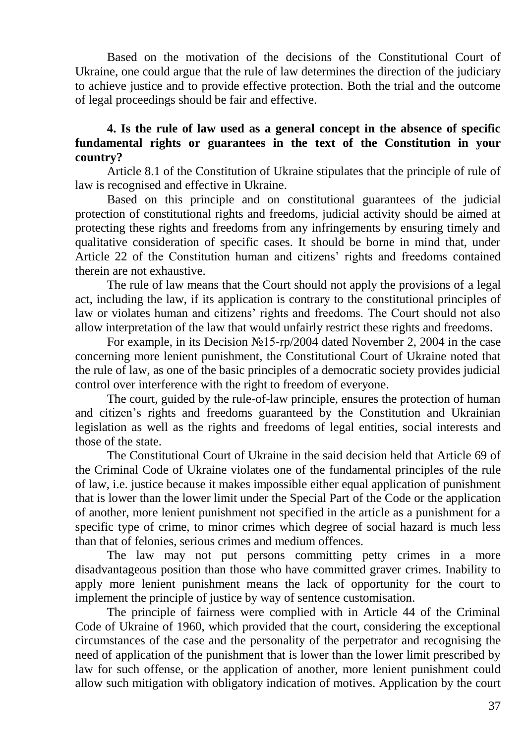Based on the motivation of the decisions of the Constitutional Court of Ukraine, one could argue that the rule of law determines the direction of the judiciary to achieve justice and to provide effective protection. Both the trial and the outcome of legal proceedings should be fair and effective.

# **4. Is the rule of law used as a general concept in the absence of specific fundamental rights or guarantees in the text of the Constitution in your country?**

Article 8.1 of the Constitution of Ukraine stipulates that the principle of rule of law is recognised and effective in Ukraine.

Based on this principle and on constitutional guarantees of the judicial protection of constitutional rights and freedoms, judicial activity should be aimed at protecting these rights and freedoms from any infringements by ensuring timely and qualitative consideration of specific cases. It should be borne in mind that, under Article 22 of the Constitution human and citizens' rights and freedoms contained therein are not exhaustive.

The rule of law means that the Court should not apply the provisions of a legal act, including the law, if its application is contrary to the constitutional principles of law or violates human and citizens' rights and freedoms. The Court should not also allow interpretation of the law that would unfairly restrict these rights and freedoms.

For example, in its Decision №15-rp/2004 dated November 2, 2004 in the case concerning more lenient punishment, the Constitutional Court of Ukraine noted that the rule of law, as one of the basic principles of a democratic society provides judicial control over interference with the right to freedom of everyone.

The court, guided by the rule-of-law principle, ensures the protection of human and citizen's rights and freedoms guaranteed by the Constitution and Ukrainian legislation as well as the rights and freedoms of legal entities, social interests and those of the state.

The Constitutional Court of Ukraine in the said decision held that Article 69 of the Criminal Code of Ukraine violates one of the fundamental principles of the rule of law, i.e. justice because it makes impossible either equal application of punishment that is lower than the lower limit under the Special Part of the Code or the application of another, more lenient punishment not specified in the article as a punishment for a specific type of crime, to minor crimes which degree of social hazard is much less than that of felonies, serious crimes and medium offences.

The law may not put persons committing petty crimes in a more disadvantageous position than those who have committed graver crimes. Inability to apply more lenient punishment means the lack of opportunity for the court to implement the principle of justice by way of sentence customisation.

The principle of fairness were complied with in Article 44 of the Criminal Code of Ukraine of 1960, which provided that the court, considering the exceptional circumstances of the case and the personality of the perpetrator and recognising the need of application of the punishment that is lower than the lower limit prescribed by law for such offense, or the application of another, more lenient punishment could allow such mitigation with obligatory indication of motives. Application by the court